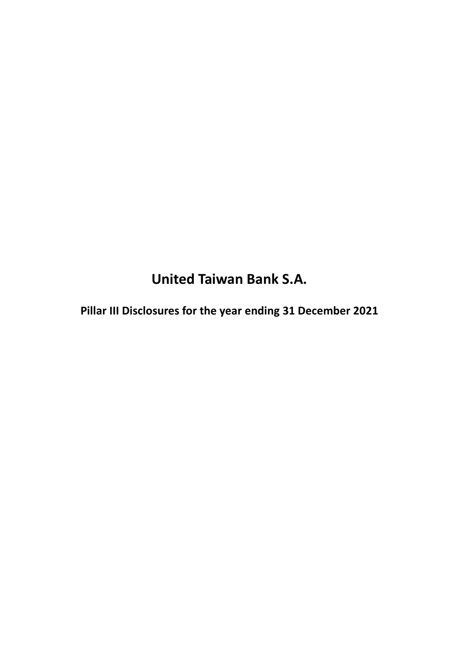**United Taiwan Bank S.A.**

**Pillar III Disclosures for the year ending 31 December 2021**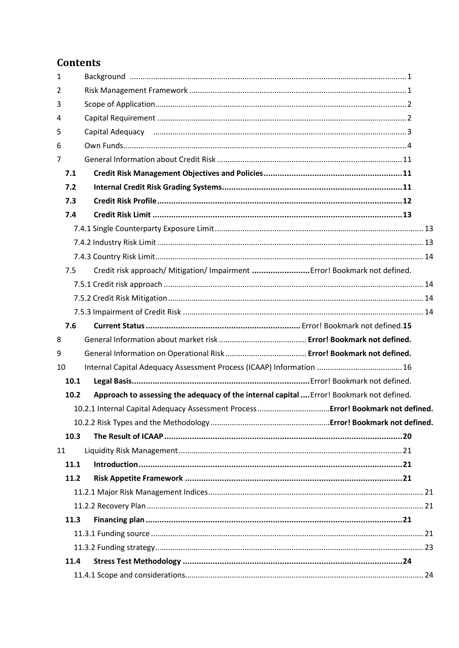# **Contents**

| $\mathbf{1}$ |      |                                                                                          |  |
|--------------|------|------------------------------------------------------------------------------------------|--|
| 2            |      |                                                                                          |  |
| 3            |      |                                                                                          |  |
| 4            |      |                                                                                          |  |
| 5            |      |                                                                                          |  |
| 6            |      |                                                                                          |  |
| 7            |      |                                                                                          |  |
|              | 7.1  |                                                                                          |  |
|              | 7.2  |                                                                                          |  |
|              | 7.3  |                                                                                          |  |
|              | 7.4  |                                                                                          |  |
|              |      |                                                                                          |  |
|              |      |                                                                                          |  |
|              |      |                                                                                          |  |
|              | 7.5  | Credit risk approach/ Mitigation/ Impairment  Error! Bookmark not defined.               |  |
|              |      |                                                                                          |  |
|              |      |                                                                                          |  |
|              |      |                                                                                          |  |
|              | 7.6  |                                                                                          |  |
| 8            |      |                                                                                          |  |
| 9            |      |                                                                                          |  |
| 10           |      |                                                                                          |  |
|              | 10.1 |                                                                                          |  |
|              | 10.2 | Approach to assessing the adequacy of the internal capital  Error! Bookmark not defined. |  |
|              |      |                                                                                          |  |
|              |      |                                                                                          |  |
|              | 10.3 |                                                                                          |  |
| 11           |      |                                                                                          |  |
|              | 11.1 |                                                                                          |  |
|              | 11.2 |                                                                                          |  |
|              |      |                                                                                          |  |
|              |      |                                                                                          |  |
|              | 11.3 |                                                                                          |  |
|              |      |                                                                                          |  |
|              |      |                                                                                          |  |
|              | 11.4 |                                                                                          |  |
|              |      |                                                                                          |  |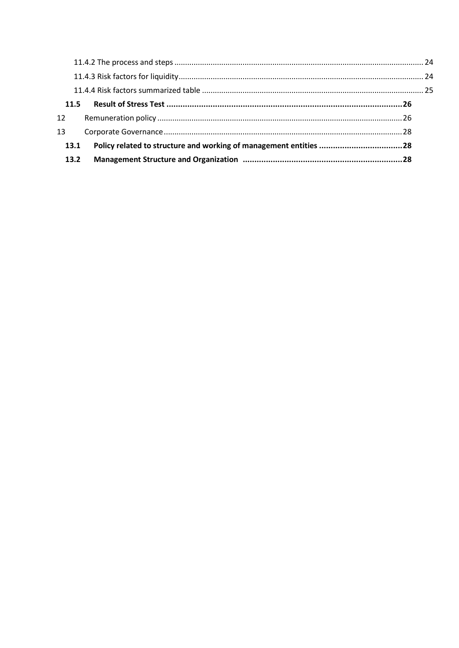| 12 <sup>1</sup> |  |
|-----------------|--|
| 13              |  |
| 13.1            |  |
| 13.2            |  |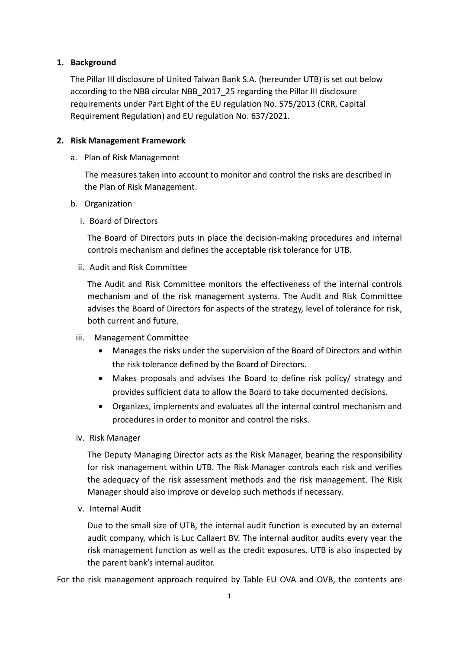#### **1. Background**

The Pillar III disclosure of United Taiwan Bank S.A. (hereunder UTB) is set out below according to the NBB circular NBB\_2017\_25 regarding the Pillar III disclosure requirements under Part Eight of the EU regulation No. 575/2013 (CRR, Capital Requirement Regulation) and EU regulation No. 637/2021.

#### **2. Risk Management Framework**

a. Plan of Risk Management

The measures taken into account to monitor and control the risks are described in the Plan of Risk Management.

- b. Organization
	- i. Board of Directors

The Board of Directors puts in place the decision-making procedures and internal controls mechanism and defines the acceptable risk tolerance for UTB.

ii. Audit and Risk Committee

The Audit and Risk Committee monitors the effectiveness of the internal controls mechanism and of the risk management systems. The Audit and Risk Committee advises the Board of Directors for aspects of the strategy, level of tolerance for risk, both current and future.

- iii. Management Committee
	- Manages the risks under the supervision of the Board of Directors and within the risk tolerance defined by the Board of Directors.
	- Makes proposals and advises the Board to define risk policy/ strategy and provides sufficient data to allow the Board to take documented decisions.
	- Organizes, implements and evaluates all the internal control mechanism and procedures in order to monitor and control the risks.
- iv. Risk Manager

The Deputy Managing Director acts as the Risk Manager, bearing the responsibility for risk management within UTB. The Risk Manager controls each risk and verifies the adequacy of the risk assessment methods and the risk management. The Risk Manager should also improve or develop such methods if necessary.

v. Internal Audit

Due to the small size of UTB, the internal audit function is executed by an external audit company, which is Luc Callaert BV. The internal auditor audits every year the risk management function as well as the credit exposures. UTB is also inspected by the parent bank's internal auditor.

For the risk management approach required by Table EU OVA and OVB, the contents are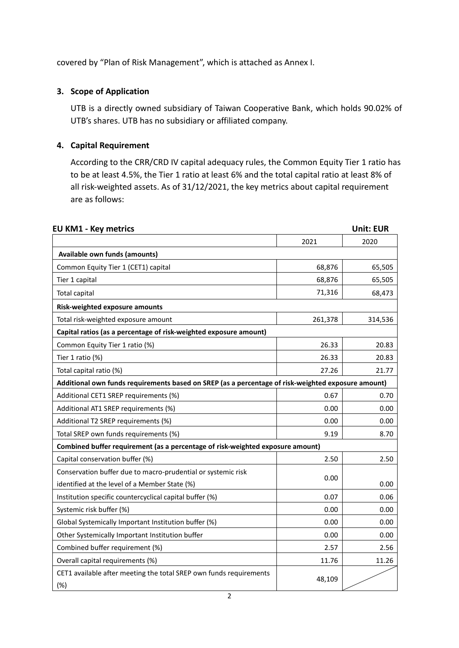covered by "Plan of Risk Management", which is attached as Annex I.

## **3. Scope of Application**

UTB is a directly owned subsidiary of Taiwan Cooperative Bank, which holds 90.02% of UTB's shares. UTB has no subsidiary or affiliated company.

# **4. Capital Requirement**

According to the CRR/CRD IV capital adequacy rules, the Common Equity Tier 1 ratio has to be at least 4.5%, the Tier 1 ratio at least 6% and the total capital ratio at least 8% of all risk-weighted assets. As of 31/12/2021, the key metrics about capital requirement are as follows:

| <b>EU KM1 - Key metrics</b>                                                                        |         | <b>Unit: EUR</b> |
|----------------------------------------------------------------------------------------------------|---------|------------------|
|                                                                                                    | 2021    | 2020             |
| Available own funds (amounts)                                                                      |         |                  |
| Common Equity Tier 1 (CET1) capital                                                                | 68,876  | 65,505           |
| Tier 1 capital                                                                                     | 68,876  | 65,505           |
| <b>Total capital</b>                                                                               | 71,316  | 68,473           |
| Risk-weighted exposure amounts                                                                     |         |                  |
| Total risk-weighted exposure amount                                                                | 261,378 | 314,536          |
| Capital ratios (as a percentage of risk-weighted exposure amount)                                  |         |                  |
| Common Equity Tier 1 ratio (%)                                                                     | 26.33   | 20.83            |
| Tier 1 ratio (%)                                                                                   | 26.33   | 20.83            |
| Total capital ratio (%)                                                                            | 27.26   | 21.77            |
| Additional own funds requirements based on SREP (as a percentage of risk-weighted exposure amount) |         |                  |
| Additional CET1 SREP requirements (%)                                                              | 0.67    | 0.70             |
| Additional AT1 SREP requirements (%)                                                               | 0.00    | 0.00             |
| Additional T2 SREP requirements (%)                                                                | 0.00    | 0.00             |
| Total SREP own funds requirements (%)                                                              | 9.19    | 8.70             |
| Combined buffer requirement (as a percentage of risk-weighted exposure amount)                     |         |                  |
| Capital conservation buffer (%)                                                                    | 2.50    | 2.50             |
| Conservation buffer due to macro-prudential or systemic risk                                       | 0.00    |                  |
| identified at the level of a Member State (%)                                                      |         | 0.00             |
| Institution specific countercyclical capital buffer (%)                                            | 0.07    | 0.06             |
| Systemic risk buffer (%)                                                                           | 0.00    | 0.00             |
| Global Systemically Important Institution buffer (%)                                               | 0.00    | 0.00             |
| Other Systemically Important Institution buffer                                                    | 0.00    | 0.00             |
| Combined buffer requirement (%)                                                                    | 2.57    | 2.56             |
| Overall capital requirements (%)                                                                   | 11.76   | 11.26            |
| CET1 available after meeting the total SREP own funds requirements<br>(%)                          | 48,109  |                  |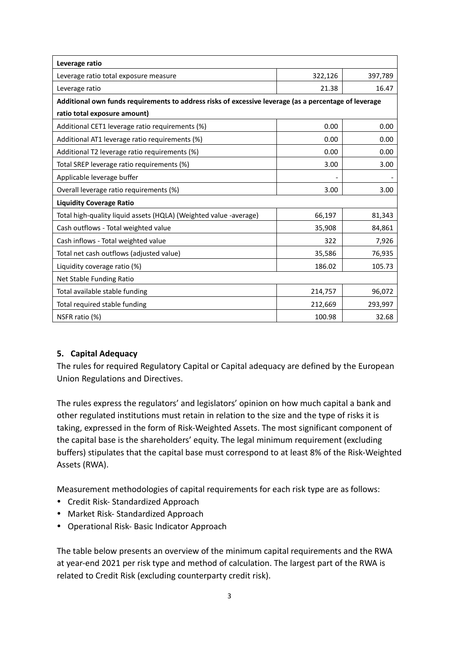| Leverage ratio                                                                                        |         |         |  |  |  |
|-------------------------------------------------------------------------------------------------------|---------|---------|--|--|--|
| Leverage ratio total exposure measure                                                                 | 322,126 | 397,789 |  |  |  |
| Leverage ratio                                                                                        | 21.38   | 16.47   |  |  |  |
| Additional own funds requirements to address risks of excessive leverage (as a percentage of leverage |         |         |  |  |  |
| ratio total exposure amount)                                                                          |         |         |  |  |  |
| Additional CET1 leverage ratio requirements (%)                                                       | 0.00    | 0.00    |  |  |  |
| Additional AT1 leverage ratio requirements (%)                                                        | 0.00    | 0.00    |  |  |  |
| Additional T2 leverage ratio requirements (%)                                                         | 0.00    | 0.00    |  |  |  |
| Total SREP leverage ratio requirements (%)                                                            | 3.00    | 3.00    |  |  |  |
| Applicable leverage buffer                                                                            |         |         |  |  |  |
| Overall leverage ratio requirements (%)                                                               | 3.00    | 3.00    |  |  |  |
| <b>Liquidity Coverage Ratio</b>                                                                       |         |         |  |  |  |
| Total high-quality liquid assets (HQLA) (Weighted value -average)                                     | 66,197  | 81,343  |  |  |  |
| Cash outflows - Total weighted value                                                                  | 35,908  | 84,861  |  |  |  |
| Cash inflows - Total weighted value                                                                   | 322     | 7,926   |  |  |  |
| Total net cash outflows (adjusted value)                                                              | 35,586  | 76,935  |  |  |  |
| Liquidity coverage ratio (%)                                                                          | 186.02  | 105.73  |  |  |  |
| Net Stable Funding Ratio                                                                              |         |         |  |  |  |
| Total available stable funding                                                                        | 214,757 | 96,072  |  |  |  |
| Total required stable funding                                                                         | 212,669 | 293,997 |  |  |  |
| NSFR ratio (%)                                                                                        | 100.98  | 32.68   |  |  |  |

### **5. Capital Adequacy**

The rules for required Regulatory Capital or Capital adequacy are defined by the European Union Regulations and Directives.

The rules express the regulators' and legislators' opinion on how much capital a bank and other regulated institutions must retain in relation to the size and the type of risks it is taking, expressed in the form of Risk-Weighted Assets. The most significant component of the capital base is the shareholders' equity. The legal minimum requirement (excluding buffers) stipulates that the capital base must correspond to at least 8% of the Risk-Weighted Assets (RWA).

Measurement methodologies of capital requirements for each risk type are as follows:

- Credit Risk- Standardized Approach
- Market Risk- Standardized Approach
- Operational Risk- Basic Indicator Approach

The table below presents an overview of the minimum capital requirements and the RWA at year-end 2021 per risk type and method of calculation. The largest part of the RWA is related to Credit Risk (excluding counterparty credit risk).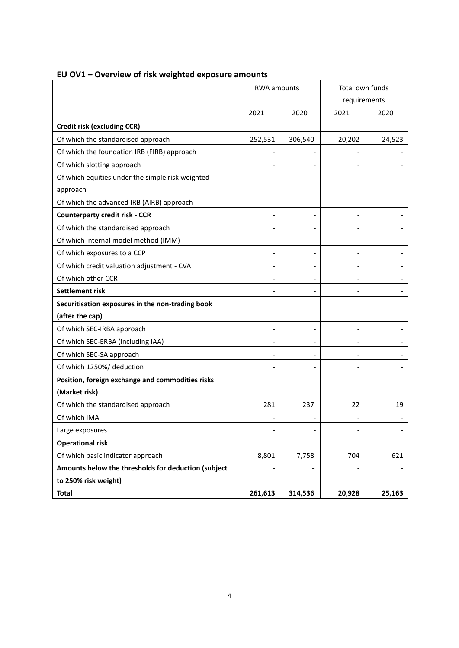|                                                     | <b>RWA</b> amounts |                          | Total own funds              |        |
|-----------------------------------------------------|--------------------|--------------------------|------------------------------|--------|
|                                                     |                    |                          | requirements                 |        |
|                                                     | 2021               | 2020                     | 2021                         | 2020   |
| Credit risk (excluding CCR)                         |                    |                          |                              |        |
| Of which the standardised approach                  | 252,531            | 306,540                  | 20,202                       | 24,523 |
| Of which the foundation IRB (FIRB) approach         |                    |                          |                              |        |
| Of which slotting approach                          |                    |                          |                              |        |
| Of which equities under the simple risk weighted    |                    |                          |                              |        |
| approach                                            |                    |                          |                              |        |
| Of which the advanced IRB (AIRB) approach           | L,                 |                          |                              |        |
| <b>Counterparty credit risk - CCR</b>               | $\overline{a}$     |                          | $\qquad \qquad \blacksquare$ |        |
| Of which the standardised approach                  |                    |                          |                              |        |
| Of which internal model method (IMM)                | $\overline{a}$     |                          | $\overline{\phantom{0}}$     |        |
| Of which exposures to a CCP                         |                    |                          |                              |        |
| Of which credit valuation adjustment - CVA          | $\overline{a}$     | $\overline{\phantom{a}}$ | $\overline{\phantom{0}}$     |        |
| Of which other CCR                                  |                    |                          |                              |        |
| Settlement risk                                     |                    |                          |                              |        |
| Securitisation exposures in the non-trading book    |                    |                          |                              |        |
| (after the cap)                                     |                    |                          |                              |        |
| Of which SEC-IRBA approach                          |                    |                          |                              |        |
| Of which SEC-ERBA (including IAA)                   |                    |                          | $\overline{\phantom{0}}$     |        |
| Of which SEC-SA approach                            |                    |                          |                              |        |
| Of which 1250%/ deduction                           |                    |                          |                              |        |
| Position, foreign exchange and commodities risks    |                    |                          |                              |        |
| (Market risk)                                       |                    |                          |                              |        |
| Of which the standardised approach                  | 281                | 237                      | 22                           | 19     |
| Of which IMA                                        |                    |                          |                              |        |
| Large exposures                                     |                    |                          |                              | -      |
| <b>Operational risk</b>                             |                    |                          |                              |        |
| Of which basic indicator approach                   | 8,801              | 7,758                    | 704                          | 621    |
| Amounts below the thresholds for deduction (subject |                    |                          |                              |        |
| to 250% risk weight)                                |                    |                          |                              |        |
| <b>Total</b>                                        | 261,613            | 314,536                  | 20,928                       | 25,163 |

# **EU OV1 – Overview of risk weighted exposure amounts**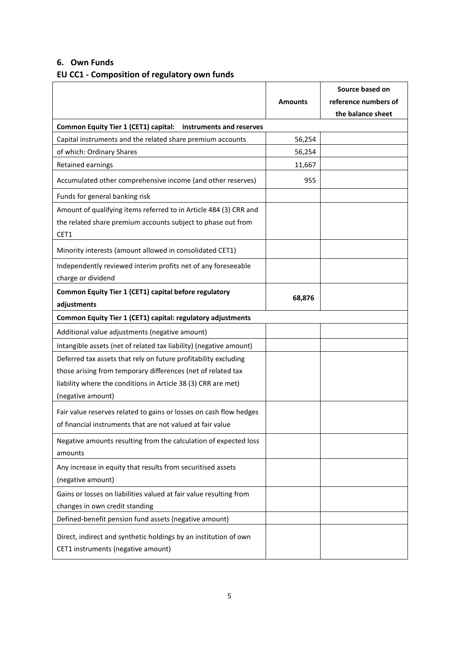### **6. Own Funds**

# **EU CC1 - Composition of regulatory own funds**

|                                                                                                                                                       |                | Source based on                           |
|-------------------------------------------------------------------------------------------------------------------------------------------------------|----------------|-------------------------------------------|
|                                                                                                                                                       | <b>Amounts</b> | reference numbers of<br>the balance sheet |
| <b>Common Equity Tier 1 (CET1) capital:</b><br>instruments and reserves                                                                               |                |                                           |
| Capital instruments and the related share premium accounts                                                                                            | 56,254         |                                           |
| of which: Ordinary Shares                                                                                                                             | 56,254         |                                           |
| Retained earnings                                                                                                                                     | 11,667         |                                           |
| Accumulated other comprehensive income (and other reserves)                                                                                           | 955            |                                           |
| Funds for general banking risk                                                                                                                        |                |                                           |
| Amount of qualifying items referred to in Article 484 (3) CRR and<br>the related share premium accounts subject to phase out from<br>CET1             |                |                                           |
| Minority interests (amount allowed in consolidated CET1)                                                                                              |                |                                           |
| Independently reviewed interim profits net of any foreseeable<br>charge or dividend                                                                   |                |                                           |
| Common Equity Tier 1 (CET1) capital before regulatory                                                                                                 | 68,876         |                                           |
| adjustments                                                                                                                                           |                |                                           |
| Common Equity Tier 1 (CET1) capital: regulatory adjustments                                                                                           |                |                                           |
| Additional value adjustments (negative amount)                                                                                                        |                |                                           |
| Intangible assets (net of related tax liability) (negative amount)                                                                                    |                |                                           |
| Deferred tax assets that rely on future profitability excluding                                                                                       |                |                                           |
| those arising from temporary differences (net of related tax                                                                                          |                |                                           |
| liability where the conditions in Article 38 (3) CRR are met)                                                                                         |                |                                           |
| (negative amount)<br>Fair value reserves related to gains or losses on cash flow hedges<br>of financial instruments that are not valued at fair value |                |                                           |
| Negative amounts resulting from the calculation of expected loss<br>amounts                                                                           |                |                                           |
| Any increase in equity that results from securitised assets<br>(negative amount)                                                                      |                |                                           |
| Gains or losses on liabilities valued at fair value resulting from                                                                                    |                |                                           |
| changes in own credit standing                                                                                                                        |                |                                           |
| Defined-benefit pension fund assets (negative amount)                                                                                                 |                |                                           |
| Direct, indirect and synthetic holdings by an institution of own<br>CET1 instruments (negative amount)                                                |                |                                           |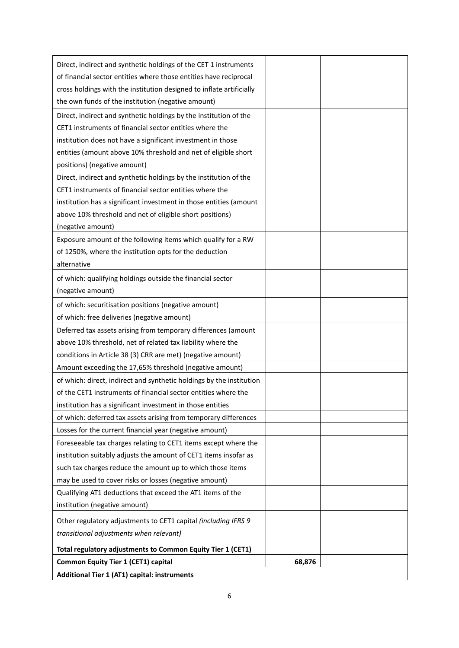| Direct, indirect and synthetic holdings of the CET 1 instruments     |        |  |
|----------------------------------------------------------------------|--------|--|
| of financial sector entities where those entities have reciprocal    |        |  |
| cross holdings with the institution designed to inflate artificially |        |  |
| the own funds of the institution (negative amount)                   |        |  |
| Direct, indirect and synthetic holdings by the institution of the    |        |  |
| CET1 instruments of financial sector entities where the              |        |  |
| institution does not have a significant investment in those          |        |  |
| entities (amount above 10% threshold and net of eligible short       |        |  |
| positions) (negative amount)                                         |        |  |
| Direct, indirect and synthetic holdings by the institution of the    |        |  |
| CET1 instruments of financial sector entities where the              |        |  |
| institution has a significant investment in those entities (amount   |        |  |
| above 10% threshold and net of eligible short positions)             |        |  |
| (negative amount)                                                    |        |  |
| Exposure amount of the following items which qualify for a RW        |        |  |
| of 1250%, where the institution opts for the deduction               |        |  |
| alternative                                                          |        |  |
| of which: qualifying holdings outside the financial sector           |        |  |
| (negative amount)                                                    |        |  |
| of which: securitisation positions (negative amount)                 |        |  |
| of which: free deliveries (negative amount)                          |        |  |
| Deferred tax assets arising from temporary differences (amount       |        |  |
| above 10% threshold, net of related tax liability where the          |        |  |
| conditions in Article 38 (3) CRR are met) (negative amount)          |        |  |
| Amount exceeding the 17,65% threshold (negative amount)              |        |  |
| of which: direct, indirect and synthetic holdings by the institution |        |  |
| of the CET1 instruments of financial sector entities where the       |        |  |
| institution has a significant investment in those entities           |        |  |
| of which: deferred tax assets arising from temporary differences     |        |  |
| Losses for the current financial year (negative amount)              |        |  |
| Foreseeable tax charges relating to CET1 items except where the      |        |  |
| institution suitably adjusts the amount of CET1 items insofar as     |        |  |
| such tax charges reduce the amount up to which those items           |        |  |
| may be used to cover risks or losses (negative amount)               |        |  |
| Qualifying AT1 deductions that exceed the AT1 items of the           |        |  |
| institution (negative amount)                                        |        |  |
| Other regulatory adjustments to CET1 capital (including IFRS 9       |        |  |
| transitional adjustments when relevant)                              |        |  |
| Total regulatory adjustments to Common Equity Tier 1 (CET1)          |        |  |
| <b>Common Equity Tier 1 (CET1) capital</b>                           | 68,876 |  |
| Additional Tier 1 (AT1) capital: instruments                         |        |  |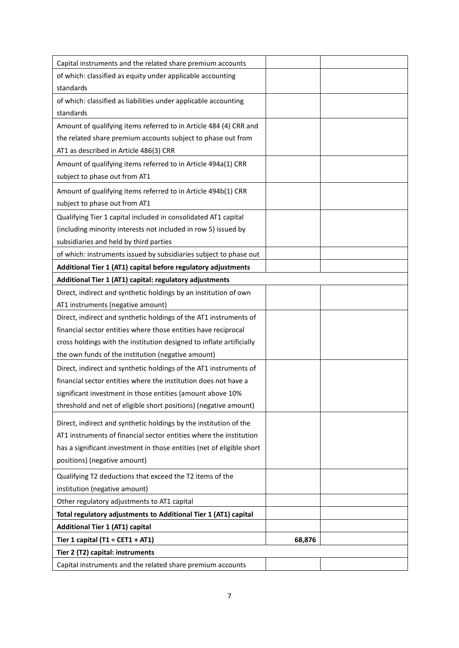| Capital instruments and the related share premium accounts            |        |  |
|-----------------------------------------------------------------------|--------|--|
| of which: classified as equity under applicable accounting            |        |  |
| standards                                                             |        |  |
| of which: classified as liabilities under applicable accounting       |        |  |
| standards                                                             |        |  |
| Amount of qualifying items referred to in Article 484 (4) CRR and     |        |  |
| the related share premium accounts subject to phase out from          |        |  |
| AT1 as described in Article 486(3) CRR                                |        |  |
| Amount of qualifying items referred to in Article 494a(1) CRR         |        |  |
| subject to phase out from AT1                                         |        |  |
| Amount of qualifying items referred to in Article 494b(1) CRR         |        |  |
| subject to phase out from AT1                                         |        |  |
| Qualifying Tier 1 capital included in consolidated AT1 capital        |        |  |
| (including minority interests not included in row 5) issued by        |        |  |
| subsidiaries and held by third parties                                |        |  |
| of which: instruments issued by subsidiaries subject to phase out     |        |  |
| Additional Tier 1 (AT1) capital before regulatory adjustments         |        |  |
| Additional Tier 1 (AT1) capital: regulatory adjustments               |        |  |
| Direct, indirect and synthetic holdings by an institution of own      |        |  |
| AT1 instruments (negative amount)                                     |        |  |
| Direct, indirect and synthetic holdings of the AT1 instruments of     |        |  |
| financial sector entities where those entities have reciprocal        |        |  |
| cross holdings with the institution designed to inflate artificially  |        |  |
| the own funds of the institution (negative amount)                    |        |  |
| Direct, indirect and synthetic holdings of the AT1 instruments of     |        |  |
| financial sector entities where the institution does not have a       |        |  |
| significant investment in those entities (amount above 10%            |        |  |
| threshold and net of eligible short positions) (negative amount)      |        |  |
| Direct, indirect and synthetic holdings by the institution of the     |        |  |
| AT1 instruments of financial sector entities where the institution    |        |  |
| has a significant investment in those entities (net of eligible short |        |  |
| positions) (negative amount)                                          |        |  |
| Qualifying T2 deductions that exceed the T2 items of the              |        |  |
| institution (negative amount)                                         |        |  |
| Other regulatory adjustments to AT1 capital                           |        |  |
| Total regulatory adjustments to Additional Tier 1 (AT1) capital       |        |  |
| <b>Additional Tier 1 (AT1) capital</b>                                |        |  |
| Tier 1 capital (T1 = CET1 + AT1)                                      | 68,876 |  |
| Tier 2 (T2) capital: instruments                                      |        |  |
| Capital instruments and the related share premium accounts            |        |  |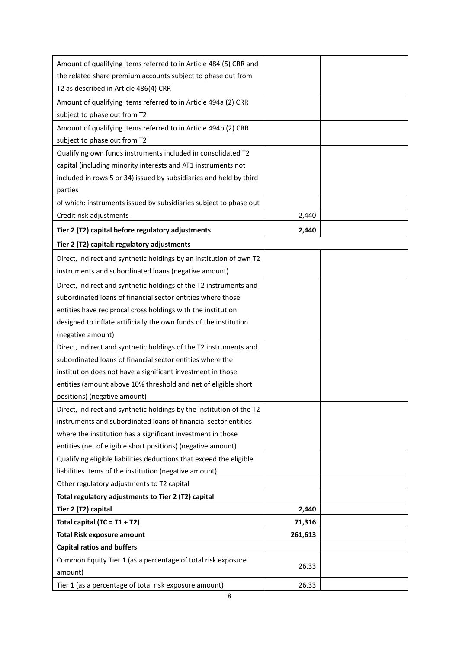| Amount of qualifying items referred to in Article 484 (5) CRR and    |         |  |
|----------------------------------------------------------------------|---------|--|
| the related share premium accounts subject to phase out from         |         |  |
| T2 as described in Article 486(4) CRR                                |         |  |
| Amount of qualifying items referred to in Article 494a (2) CRR       |         |  |
| subject to phase out from T2                                         |         |  |
| Amount of qualifying items referred to in Article 494b (2) CRR       |         |  |
| subject to phase out from T2                                         |         |  |
| Qualifying own funds instruments included in consolidated T2         |         |  |
| capital (including minority interests and AT1 instruments not        |         |  |
| included in rows 5 or 34) issued by subsidiaries and held by third   |         |  |
| parties                                                              |         |  |
| of which: instruments issued by subsidiaries subject to phase out    |         |  |
| Credit risk adjustments                                              | 2,440   |  |
| Tier 2 (T2) capital before regulatory adjustments                    | 2,440   |  |
| Tier 2 (T2) capital: regulatory adjustments                          |         |  |
| Direct, indirect and synthetic holdings by an institution of own T2  |         |  |
| instruments and subordinated loans (negative amount)                 |         |  |
| Direct, indirect and synthetic holdings of the T2 instruments and    |         |  |
| subordinated loans of financial sector entities where those          |         |  |
| entities have reciprocal cross holdings with the institution         |         |  |
| designed to inflate artificially the own funds of the institution    |         |  |
| (negative amount)                                                    |         |  |
| Direct, indirect and synthetic holdings of the T2 instruments and    |         |  |
| subordinated loans of financial sector entities where the            |         |  |
| institution does not have a significant investment in those          |         |  |
| entities (amount above 10% threshold and net of eligible short       |         |  |
| positions) (negative amount)                                         |         |  |
| Direct, indirect and synthetic holdings by the institution of the T2 |         |  |
| instruments and subordinated loans of financial sector entities      |         |  |
| where the institution has a significant investment in those          |         |  |
| entities (net of eligible short positions) (negative amount)         |         |  |
| Qualifying eligible liabilities deductions that exceed the eligible  |         |  |
| liabilities items of the institution (negative amount)               |         |  |
| Other regulatory adjustments to T2 capital                           |         |  |
| Total regulatory adjustments to Tier 2 (T2) capital                  |         |  |
| Tier 2 (T2) capital                                                  | 2,440   |  |
| Total capital (TC = $T1 + T2$ )                                      | 71,316  |  |
| <b>Total Risk exposure amount</b>                                    | 261,613 |  |
| <b>Capital ratios and buffers</b>                                    |         |  |
| Common Equity Tier 1 (as a percentage of total risk exposure         | 26.33   |  |
| amount)                                                              |         |  |
| Tier 1 (as a percentage of total risk exposure amount)               | 26.33   |  |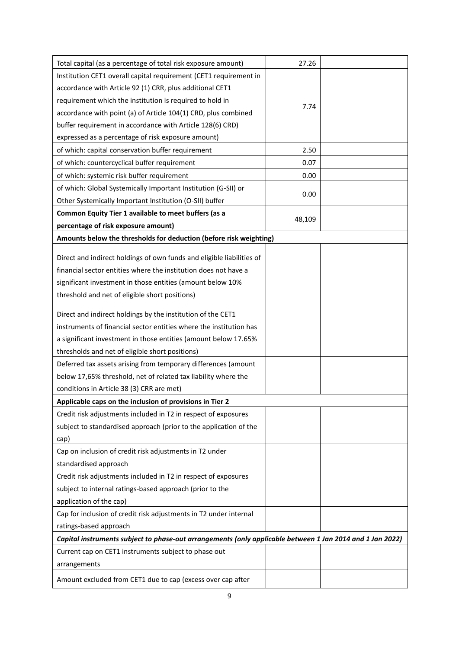| Total capital (as a percentage of total risk exposure amount)                                             | 27.26  |  |
|-----------------------------------------------------------------------------------------------------------|--------|--|
| Institution CET1 overall capital requirement (CET1 requirement in                                         |        |  |
| accordance with Article 92 (1) CRR, plus additional CET1                                                  |        |  |
| requirement which the institution is required to hold in                                                  |        |  |
| accordance with point (a) of Article 104(1) CRD, plus combined                                            | 7.74   |  |
| buffer requirement in accordance with Article 128(6) CRD)                                                 |        |  |
| expressed as a percentage of risk exposure amount)                                                        |        |  |
| of which: capital conservation buffer requirement                                                         | 2.50   |  |
| of which: countercyclical buffer requirement                                                              | 0.07   |  |
| of which: systemic risk buffer requirement                                                                | 0.00   |  |
| of which: Global Systemically Important Institution (G-SII) or                                            |        |  |
| Other Systemically Important Institution (O-SII) buffer                                                   | 0.00   |  |
| Common Equity Tier 1 available to meet buffers (as a                                                      |        |  |
| percentage of risk exposure amount)                                                                       | 48,109 |  |
| Amounts below the thresholds for deduction (before risk weighting)                                        |        |  |
|                                                                                                           |        |  |
| Direct and indirect holdings of own funds and eligible liabilities of                                     |        |  |
| financial sector entities where the institution does not have a                                           |        |  |
| significant investment in those entities (amount below 10%                                                |        |  |
| threshold and net of eligible short positions)                                                            |        |  |
| Direct and indirect holdings by the institution of the CET1                                               |        |  |
| instruments of financial sector entities where the institution has                                        |        |  |
| a significant investment in those entities (amount below 17.65%                                           |        |  |
| thresholds and net of eligible short positions)                                                           |        |  |
| Deferred tax assets arising from temporary differences (amount                                            |        |  |
| below 17,65% threshold, net of related tax liability where the                                            |        |  |
| conditions in Article 38 (3) CRR are met)                                                                 |        |  |
| Applicable caps on the inclusion of provisions in Tier 2                                                  |        |  |
| Credit risk adjustments included in T2 in respect of exposures                                            |        |  |
| subject to standardised approach (prior to the application of the                                         |        |  |
| cap)                                                                                                      |        |  |
| Cap on inclusion of credit risk adjustments in T2 under                                                   |        |  |
| standardised approach                                                                                     |        |  |
| Credit risk adjustments included in T2 in respect of exposures                                            |        |  |
| subject to internal ratings-based approach (prior to the                                                  |        |  |
| application of the cap)                                                                                   |        |  |
| Cap for inclusion of credit risk adjustments in T2 under internal                                         |        |  |
| ratings-based approach                                                                                    |        |  |
| Capital instruments subject to phase-out arrangements (only applicable between 1 Jan 2014 and 1 Jan 2022) |        |  |
| Current cap on CET1 instruments subject to phase out                                                      |        |  |
| arrangements                                                                                              |        |  |
| Amount excluded from CET1 due to cap (excess over cap after                                               |        |  |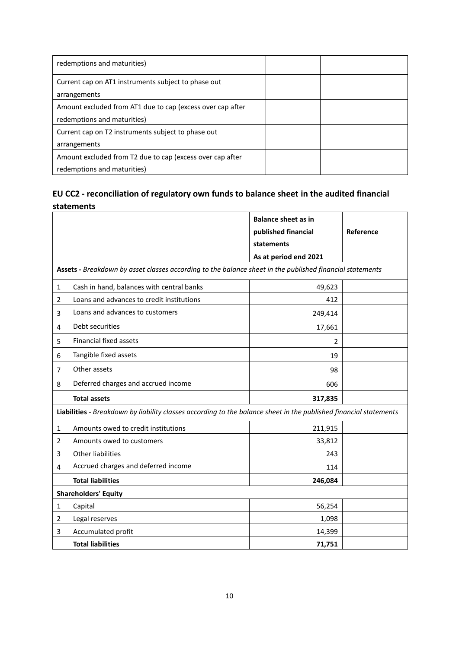| redemptions and maturities)                                |  |
|------------------------------------------------------------|--|
| Current cap on AT1 instruments subject to phase out        |  |
| arrangements                                               |  |
| Amount excluded from AT1 due to cap (excess over cap after |  |
| redemptions and maturities)                                |  |
| Current cap on T2 instruments subject to phase out         |  |
| arrangements                                               |  |
| Amount excluded from T2 due to cap (excess over cap after  |  |
| redemptions and maturities)                                |  |

# **EU CC2 - reconciliation of regulatory own funds to balance sheet in the audited financial statements**

|   |                                                                                                                   | <b>Balance sheet as in</b><br>published financial | Reference |  |  |
|---|-------------------------------------------------------------------------------------------------------------------|---------------------------------------------------|-----------|--|--|
|   |                                                                                                                   | statements<br>As at period end 2021               |           |  |  |
|   | Assets - Breakdown by asset classes according to the balance sheet in the published financial statements          |                                                   |           |  |  |
| 1 | Cash in hand, balances with central banks                                                                         | 49,623                                            |           |  |  |
| 2 | Loans and advances to credit institutions                                                                         | 412                                               |           |  |  |
| 3 | Loans and advances to customers                                                                                   | 249,414                                           |           |  |  |
| 4 | Debt securities                                                                                                   | 17,661                                            |           |  |  |
| 5 | <b>Financial fixed assets</b>                                                                                     | $\overline{2}$                                    |           |  |  |
| 6 | Tangible fixed assets                                                                                             | 19                                                |           |  |  |
| 7 | Other assets                                                                                                      | 98                                                |           |  |  |
| 8 | Deferred charges and accrued income                                                                               | 606                                               |           |  |  |
|   | <b>Total assets</b>                                                                                               | 317,835                                           |           |  |  |
|   | Liabilities - Breakdown by liability classes according to the balance sheet in the published financial statements |                                                   |           |  |  |
| 1 | Amounts owed to credit institutions                                                                               | 211,915                                           |           |  |  |
| 2 | Amounts owed to customers                                                                                         | 33,812                                            |           |  |  |
| 3 | Other liabilities                                                                                                 | 243                                               |           |  |  |
| 4 | Accrued charges and deferred income                                                                               | 114                                               |           |  |  |
|   | <b>Total liabilities</b>                                                                                          | 246,084                                           |           |  |  |
|   | <b>Shareholders' Equity</b>                                                                                       |                                                   |           |  |  |
| 1 | Capital                                                                                                           | 56,254                                            |           |  |  |
| 2 | Legal reserves                                                                                                    | 1,098                                             |           |  |  |
| 3 | Accumulated profit                                                                                                | 14,399                                            |           |  |  |
|   | <b>Total liabilities</b>                                                                                          | 71,751                                            |           |  |  |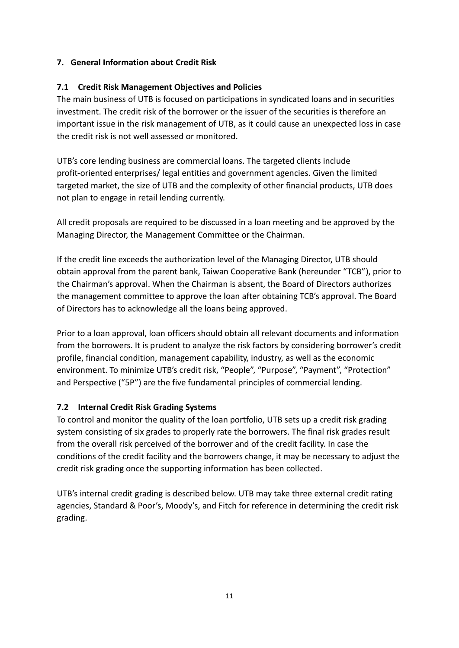# **7. General Information about Credit Risk**

# **7.1 Credit Risk Management Objectives and Policies**

The main business of UTB is focused on participations in syndicated loans and in securities investment. The credit risk of the borrower or the issuer of the securities is therefore an important issue in the risk management of UTB, as it could cause an unexpected loss in case the credit risk is not well assessed or monitored.

UTB's core lending business are commercial loans. The targeted clients include profit-oriented enterprises/ legal entities and government agencies. Given the limited targeted market, the size of UTB and the complexity of other financial products, UTB does not plan to engage in retail lending currently.

All credit proposals are required to be discussed in a loan meeting and be approved by the Managing Director, the Management Committee or the Chairman.

If the credit line exceeds the authorization level of the Managing Director, UTB should obtain approval from the parent bank, Taiwan Cooperative Bank (hereunder "TCB"), prior to the Chairman's approval. When the Chairman is absent, the Board of Directors authorizes the management committee to approve the loan after obtaining TCB's approval. The Board of Directors has to acknowledge all the loans being approved.

Prior to a loan approval, loan officers should obtain all relevant documents and information from the borrowers. It is prudent to analyze the risk factors by considering borrower's credit profile, financial condition, management capability, industry, as well as the economic environment. To minimize UTB's credit risk, "People", "Purpose", "Payment", "Protection" and Perspective ("5P") are the five fundamental principles of commercial lending.

# **7.2 Internal Credit Risk Grading Systems**

To control and monitor the quality of the loan portfolio, UTB sets up a credit risk grading system consisting of six grades to properly rate the borrowers. The final risk grades result from the overall risk perceived of the borrower and of the credit facility. In case the conditions of the credit facility and the borrowers change, it may be necessary to adjust the credit risk grading once the supporting information has been collected.

UTB's internal credit grading is described below. UTB may take three external credit rating agencies, Standard & Poor's, Moody's, and Fitch for reference in determining the credit risk grading.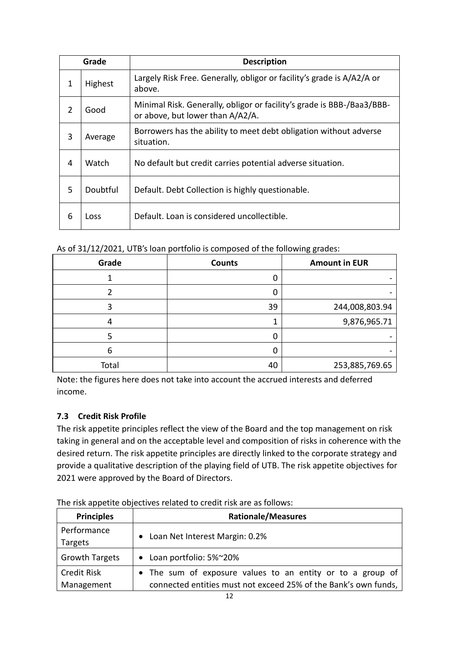| Grade          |          | <b>Description</b>                                                                                         |  |  |  |  |
|----------------|----------|------------------------------------------------------------------------------------------------------------|--|--|--|--|
| 1              | Highest  | Largely Risk Free. Generally, obligor or facility's grade is A/A2/A or<br>above.                           |  |  |  |  |
| $\overline{2}$ | Good     | Minimal Risk. Generally, obligor or facility's grade is BBB-/Baa3/BBB-<br>or above, but lower than A/A2/A. |  |  |  |  |
| 3              | Average  | Borrowers has the ability to meet debt obligation without adverse<br>situation.                            |  |  |  |  |
| 4              | Watch    | No default but credit carries potential adverse situation.                                                 |  |  |  |  |
| 5              | Doubtful | Default. Debt Collection is highly questionable.                                                           |  |  |  |  |
| 6              | Loss     | Default. Loan is considered uncollectible.                                                                 |  |  |  |  |

As of 31/12/2021, UTB's loan portfolio is composed of the following grades:

| Grade | <b>Counts</b> | <b>Amount in EUR</b> |
|-------|---------------|----------------------|
|       |               |                      |
|       |               |                      |
|       | 39            | 244,008,803.94       |
| 4     |               | 9,876,965.71         |
|       |               |                      |
| 6     |               |                      |
| Total | 40            | 253,885,769.65       |

Note: the figures here does not take into account the accrued interests and deferred income.

# **7.3 Credit Risk Profile**

The risk appetite principles reflect the view of the Board and the top management on risk taking in general and on the acceptable level and composition of risks in coherence with the desired return. The risk appetite principles are directly linked to the corporate strategy and provide a qualitative description of the playing field of UTB. The risk appetite objectives for 2021 were approved by the Board of Directors.

| <b>Principles</b>     | <b>Rationale/Measures</b>                                       |
|-----------------------|-----------------------------------------------------------------|
| Performance           |                                                                 |
| Targets               | Loan Net Interest Margin: 0.2%                                  |
| <b>Growth Targets</b> | • Loan portfolio: 5%~20%                                        |
| <b>Credit Risk</b>    | • The sum of exposure values to an entity or to a group of      |
| Management            | connected entities must not exceed 25% of the Bank's own funds, |

The risk appetite objectives related to credit risk are as follows: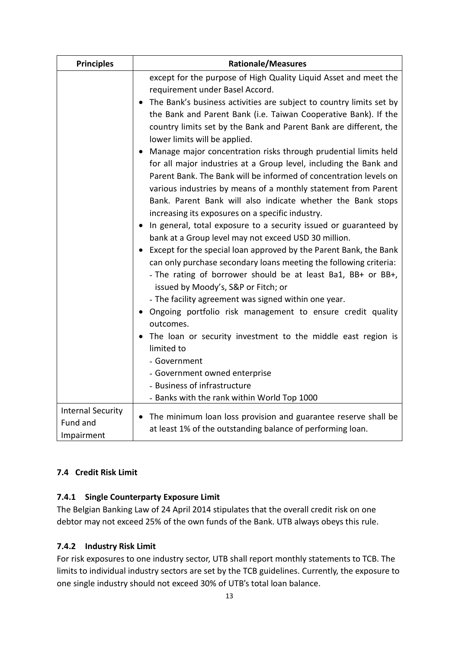| <b>Principles</b>                                  | <b>Rationale/Measures</b>                                                                                                                                                                                                                                                                                                                                                                                                                                                                                                                                                                                                                                                                                                                                                                                                                                                                                 |  |  |  |
|----------------------------------------------------|-----------------------------------------------------------------------------------------------------------------------------------------------------------------------------------------------------------------------------------------------------------------------------------------------------------------------------------------------------------------------------------------------------------------------------------------------------------------------------------------------------------------------------------------------------------------------------------------------------------------------------------------------------------------------------------------------------------------------------------------------------------------------------------------------------------------------------------------------------------------------------------------------------------|--|--|--|
|                                                    | except for the purpose of High Quality Liquid Asset and meet the<br>requirement under Basel Accord.                                                                                                                                                                                                                                                                                                                                                                                                                                                                                                                                                                                                                                                                                                                                                                                                       |  |  |  |
|                                                    | The Bank's business activities are subject to country limits set by<br>$\bullet$<br>the Bank and Parent Bank (i.e. Taiwan Cooperative Bank). If the<br>country limits set by the Bank and Parent Bank are different, the<br>lower limits will be applied.                                                                                                                                                                                                                                                                                                                                                                                                                                                                                                                                                                                                                                                 |  |  |  |
|                                                    | • Manage major concentration risks through prudential limits held<br>for all major industries at a Group level, including the Bank and<br>Parent Bank. The Bank will be informed of concentration levels on<br>various industries by means of a monthly statement from Parent<br>Bank. Parent Bank will also indicate whether the Bank stops<br>increasing its exposures on a specific industry.<br>• In general, total exposure to a security issued or guaranteed by<br>bank at a Group level may not exceed USD 30 million.<br>• Except for the special loan approved by the Parent Bank, the Bank<br>can only purchase secondary loans meeting the following criteria:<br>- The rating of borrower should be at least Ba1, BB+ or BB+,<br>issued by Moody's, S&P or Fitch; or<br>- The facility agreement was signed within one year.<br>• Ongoing portfolio risk management to ensure credit quality |  |  |  |
|                                                    | outcomes.<br>The loan or security investment to the middle east region is<br>limited to<br>- Government<br>- Government owned enterprise<br>- Business of infrastructure                                                                                                                                                                                                                                                                                                                                                                                                                                                                                                                                                                                                                                                                                                                                  |  |  |  |
|                                                    | - Banks with the rank within World Top 1000                                                                                                                                                                                                                                                                                                                                                                                                                                                                                                                                                                                                                                                                                                                                                                                                                                                               |  |  |  |
| <b>Internal Security</b><br>Fund and<br>Impairment | • The minimum loan loss provision and guarantee reserve shall be<br>at least 1% of the outstanding balance of performing loan.                                                                                                                                                                                                                                                                                                                                                                                                                                                                                                                                                                                                                                                                                                                                                                            |  |  |  |

# **7.4 Credit Risk Limit**

# **7.4.1 Single Counterparty Exposure Limit**

The Belgian Banking Law of 24 April 2014 stipulates that the overall credit risk on one debtor may not exceed 25% of the own funds of the Bank. UTB always obeys this rule.

# **7.4.2 Industry Risk Limit**

For risk exposures to one industry sector, UTB shall report monthly statements to TCB. The limits to individual industry sectors are set by the TCB guidelines. Currently, the exposure to one single industry should not exceed 30% of UTB's total loan balance.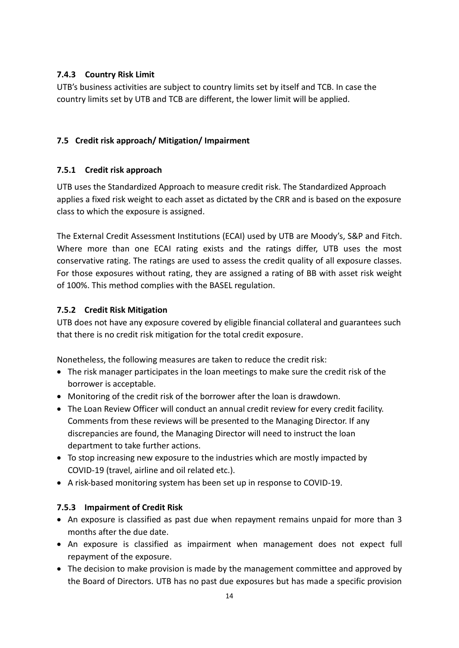# **7.4.3 Country Risk Limit**

UTB's business activities are subject to country limits set by itself and TCB. In case the country limits set by UTB and TCB are different, the lower limit will be applied.

# **7.5 Credit risk approach/ Mitigation/ Impairment**

# **7.5.1 Credit risk approach**

UTB uses the Standardized Approach to measure credit risk. The Standardized Approach applies a fixed risk weight to each asset as dictated by the CRR and is based on the exposure class to which the exposure is assigned.

The External Credit Assessment Institutions (ECAI) used by UTB are Moody's, S&P and Fitch. Where more than one ECAI rating exists and the ratings differ, UTB uses the most conservative rating. The ratings are used to assess the credit quality of all exposure classes. For those exposures without rating, they are assigned a rating of BB with asset risk weight of 100%. This method complies with the BASEL regulation.

# **7.5.2 Credit Risk Mitigation**

UTB does not have any exposure covered by eligible financial collateral and guarantees such that there is no credit risk mitigation for the total credit exposure.

Nonetheless, the following measures are taken to reduce the credit risk:

- The risk manager participates in the loan meetings to make sure the credit risk of the borrower is acceptable.
- Monitoring of the credit risk of the borrower after the loan is drawdown.
- The Loan Review Officer will conduct an annual credit review for every credit facility. Comments from these reviews will be presented to the Managing Director. If any discrepancies are found, the Managing Director will need to instruct the loan department to take further actions.
- To stop increasing new exposure to the industries which are mostly impacted by COVID-19 (travel, airline and oil related etc.).
- A risk-based monitoring system has been set up in response to COVID-19.

# **7.5.3 Impairment of Credit Risk**

- An exposure is classified as past due when repayment remains unpaid for more than 3 months after the due date.
- An exposure is classified as impairment when management does not expect full repayment of the exposure.
- The decision to make provision is made by the management committee and approved by the Board of Directors. UTB has no past due exposures but has made a specific provision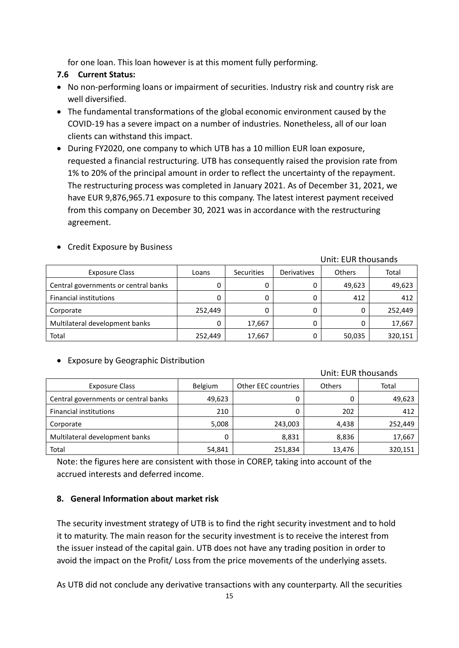for one loan. This loan however is at this moment fully performing.

### **7.6 Current Status:**

- No non-performing loans or impairment of securities. Industry risk and country risk are well diversified.
- The fundamental transformations of the global economic environment caused by the COVID-19 has a severe impact on a number of industries. Nonetheless, all of our loan clients can withstand this impact.
- During FY2020, one company to which UTB has a 10 million EUR loan exposure, requested a financial restructuring. UTB has consequently raised the provision rate from 1% to 20% of the principal amount in order to reflect the uncertainty of the repayment. The restructuring process was completed in January 2021. As of December 31, 2021, we have EUR 9,876,965.71 exposure to this company. The latest interest payment received from this company on December 30, 2021 was in accordance with the restructuring agreement.

|                                      |         |            |             | Unit: EUR thousands |         |
|--------------------------------------|---------|------------|-------------|---------------------|---------|
| <b>Exposure Class</b>                | Loans   | Securities | Derivatives | Others              | Total   |
| Central governments or central banks |         |            | 0           | 49,623              | 49,623  |
| <b>Financial institutions</b>        |         | 0          | 0           | 412                 | 412     |
| Corporate                            | 252.449 | 0          | 0           | 0                   | 252,449 |
| Multilateral development banks       |         | 17,667     | 0           |                     | 17,667  |
| Total                                | 252,449 | 17,667     | 0           | 50,035              | 320,151 |

#### • Credit Exposure by Business

#### • Exposure by Geographic Distribution

|                                      |                |                     |        | Unit: EUR thousands |
|--------------------------------------|----------------|---------------------|--------|---------------------|
| <b>Exposure Class</b>                | <b>Belgium</b> | Other EEC countries | Others | Total               |
| Central governments or central banks | 49,623         | 0                   |        | 49,623              |
| <b>Financial institutions</b>        | 210            | 0                   | 202    | 412                 |
| Corporate                            | 5,008          | 243,003             | 4,438  | 252,449             |
| Multilateral development banks       | 0              | 8,831               | 8,836  | 17,667              |
| Total                                | 54,841         | 251,834             | 13,476 | 320,151             |

Note: the figures here are consistent with those in COREP, taking into account of the accrued interests and deferred income.

### **8. General Information about market risk**

The security investment strategy of UTB is to find the right security investment and to hold it to maturity. The main reason for the security investment is to receive the interest from the issuer instead of the capital gain. UTB does not have any trading position in order to avoid the impact on the Profit/ Loss from the price movements of the underlying assets.

As UTB did not conclude any derivative transactions with any counterparty. All the securities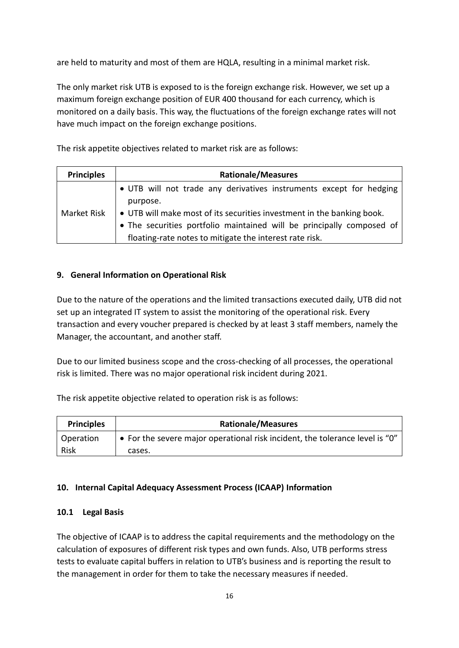are held to maturity and most of them are HQLA, resulting in a minimal market risk.

The only market risk UTB is exposed to is the foreign exchange risk. However, we set up a maximum foreign exchange position of EUR 400 thousand for each currency, which is monitored on a daily basis. This way, the fluctuations of the foreign exchange rates will not have much impact on the foreign exchange positions.

The risk appetite objectives related to market risk are as follows:

| <b>Principles</b> | <b>Rationale/Measures</b>                                              |  |  |  |  |  |  |
|-------------------|------------------------------------------------------------------------|--|--|--|--|--|--|
|                   | • UTB will not trade any derivatives instruments except for hedging    |  |  |  |  |  |  |
|                   | purpose.                                                               |  |  |  |  |  |  |
| Market Risk       | • UTB will make most of its securities investment in the banking book. |  |  |  |  |  |  |
|                   | • The securities portfolio maintained will be principally composed of  |  |  |  |  |  |  |
|                   | floating-rate notes to mitigate the interest rate risk.                |  |  |  |  |  |  |

### **9. General Information on Operational Risk**

Due to the nature of the operations and the limited transactions executed daily, UTB did not set up an integrated IT system to assist the monitoring of the operational risk. Every transaction and every voucher prepared is checked by at least 3 staff members, namely the Manager, the accountant, and another staff.

Due to our limited business scope and the cross-checking of all processes, the operational risk is limited. There was no major operational risk incident during 2021.

The risk appetite objective related to operation risk is as follows:

| <b>Principles</b> | <b>Rationale/Measures</b>                                                    |
|-------------------|------------------------------------------------------------------------------|
| <b>Operation</b>  | • For the severe major operational risk incident, the tolerance level is "0" |
| Risk              | cases.                                                                       |

### **10. Internal Capital Adequacy Assessment Process (ICAAP) Information**

#### **10.1 Legal Basis**

The objective of ICAAP is to address the capital requirements and the methodology on the calculation of exposures of different risk types and own funds. Also, UTB performs stress tests to evaluate capital buffers in relation to UTB's business and is reporting the result to the management in order for them to take the necessary measures if needed.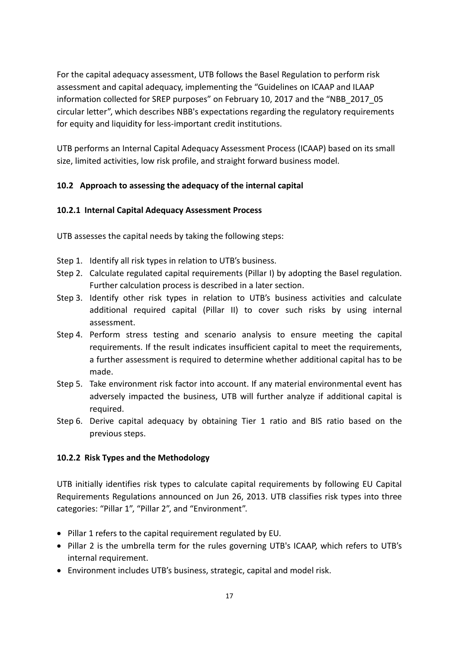For the capital adequacy assessment, UTB follows the Basel Regulation to perform risk assessment and capital adequacy, implementing the "Guidelines on ICAAP and ILAAP information collected for SREP purposes" on February 10, 2017 and the "NBB\_2017\_05 circular letter", which describes NBB's expectations regarding the regulatory requirements for equity and liquidity for less-important credit institutions.

UTB performs an Internal Capital Adequacy Assessment Process (ICAAP) based on its small size, limited activities, low risk profile, and straight forward business model.

# **10.2 Approach to assessing the adequacy of the internal capital**

#### **10.2.1 Internal Capital Adequacy Assessment Process**

UTB assesses the capital needs by taking the following steps:

- Step 1. Identify all risk types in relation to UTB's business.
- Step 2. Calculate regulated capital requirements (Pillar I) by adopting the Basel regulation. Further calculation process is described in a later section.
- Step 3. Identify other risk types in relation to UTB's business activities and calculate additional required capital (Pillar II) to cover such risks by using internal assessment.
- Step 4. Perform stress testing and scenario analysis to ensure meeting the capital requirements. If the result indicates insufficient capital to meet the requirements, a further assessment is required to determine whether additional capital has to be made.
- Step 5. Take environment risk factor into account. If any material environmental event has adversely impacted the business, UTB will further analyze if additional capital is required.
- Step 6. Derive capital adequacy by obtaining Tier 1 ratio and BIS ratio based on the previous steps.

### **10.2.2 Risk Types and the Methodology**

UTB initially identifies risk types to calculate capital requirements by following EU Capital Requirements Regulations announced on Jun 26, 2013. UTB classifies risk types into three categories: "Pillar 1", "Pillar 2", and "Environment".

- Pillar 1 refers to the capital requirement regulated by EU.
- Pillar 2 is the umbrella term for the rules governing UTB's ICAAP, which refers to UTB's internal requirement.
- Environment includes UTB's business, strategic, capital and model risk.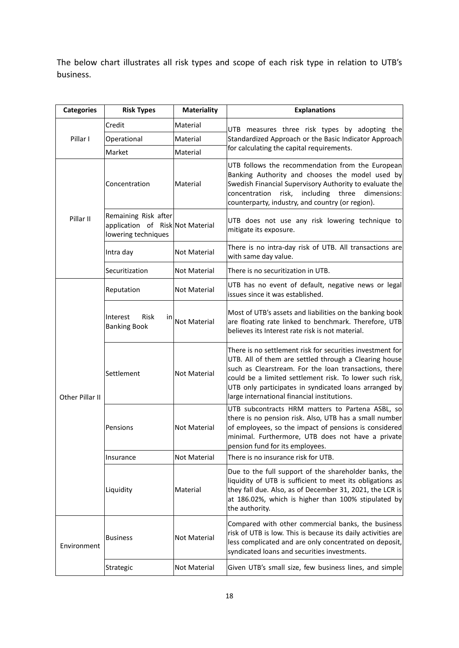The below chart illustrates all risk types and scope of each risk type in relation to UTB's business.

| <b>Categories</b> | <b>Risk Types</b>                                                               | <b>Materiality</b>  | <b>Explanations</b>                                                                                                                                                                                                                                                                                                                            |
|-------------------|---------------------------------------------------------------------------------|---------------------|------------------------------------------------------------------------------------------------------------------------------------------------------------------------------------------------------------------------------------------------------------------------------------------------------------------------------------------------|
|                   | Credit                                                                          | Material            | UTB measures three risk types by adopting the                                                                                                                                                                                                                                                                                                  |
| Pillar I          | Operational                                                                     | Material            | Standardized Approach or the Basic Indicator Approach                                                                                                                                                                                                                                                                                          |
|                   | Market                                                                          | Material            | for calculating the capital requirements.                                                                                                                                                                                                                                                                                                      |
|                   | Concentration                                                                   | Material            | UTB follows the recommendation from the European<br>Banking Authority and chooses the model used by<br>Swedish Financial Supervisory Authority to evaluate the<br>concentration<br>risk,<br>including<br>three<br>dimensions:<br>counterparty, industry, and country (or region).                                                              |
| Pillar II         | Remaining Risk after<br>application of Risk Not Material<br>lowering techniques |                     | UTB does not use any risk lowering technique to<br>mitigate its exposure.                                                                                                                                                                                                                                                                      |
|                   | Intra day                                                                       | <b>Not Material</b> | There is no intra-day risk of UTB. All transactions are<br>with same day value.                                                                                                                                                                                                                                                                |
|                   | Securitization                                                                  | Not Material        | There is no securitization in UTB.                                                                                                                                                                                                                                                                                                             |
|                   | Reputation                                                                      | Not Material        | UTB has no event of default, negative news or legal<br>issues since it was established.                                                                                                                                                                                                                                                        |
|                   | Interest<br>Risk<br>in<br><b>Banking Book</b>                                   | Not Material        | Most of UTB's assets and liabilities on the banking book<br>are floating rate linked to benchmark. Therefore, UTB<br>believes its Interest rate risk is not material.                                                                                                                                                                          |
| Other Pillar II   | Settlement                                                                      | Not Material        | There is no settlement risk for securities investment for<br>UTB. All of them are settled through a Clearing house<br>such as Clearstream. For the loan transactions, there<br>could be a limited settlement risk. To lower such risk,<br>UTB only participates in syndicated loans arranged by<br>large international financial institutions. |
|                   | Pensions                                                                        | Not Material        | UTB subcontracts HRM matters to Partena ASBL, so<br>there is no pension risk. Also, UTB has a small number<br>of employees, so the impact of pensions is considered<br>minimal. Furthermore, UTB does not have a private<br>pension fund for its employees.                                                                                    |
|                   | Insurance                                                                       | Not Material        | There is no insurance risk for UTB.                                                                                                                                                                                                                                                                                                            |
|                   | Liquidity                                                                       | Material            | Due to the full support of the shareholder banks, the<br>liquidity of UTB is sufficient to meet its obligations as<br>they fall due. Also, as of December 31, 2021, the LCR is<br>at 186.02%, which is higher than 100% stipulated by<br>the authority.                                                                                        |
| Environment       | <b>Business</b>                                                                 | <b>Not Material</b> | Compared with other commercial banks, the business<br>risk of UTB is low. This is because its daily activities are<br>less complicated and are only concentrated on deposit,<br>syndicated loans and securities investments.                                                                                                                   |
|                   | Strategic                                                                       | Not Material        | Given UTB's small size, few business lines, and simple                                                                                                                                                                                                                                                                                         |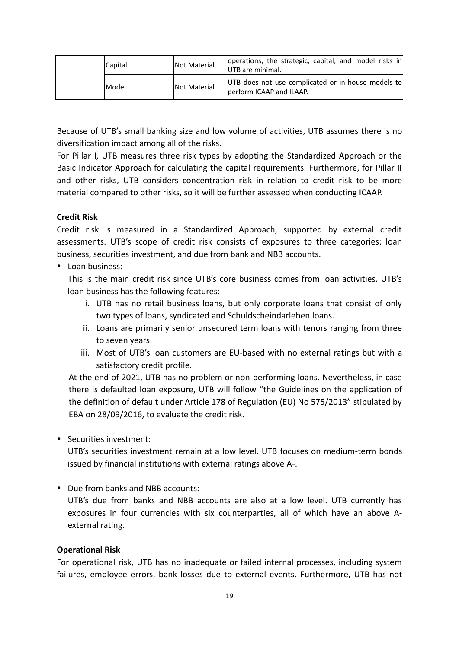|  | Capital | <b>Not Material</b> | operations, the strategic, capital, and model risks in<br><b>IUTB</b> are minimal. |                                                                                 |
|--|---------|---------------------|------------------------------------------------------------------------------------|---------------------------------------------------------------------------------|
|  |         | Model               | <b>Not Material</b>                                                                | UTB does not use complicated or in-house models to<br>lperform ICAAP and ILAAP. |

Because of UTB's small banking size and low volume of activities, UTB assumes there is no diversification impact among all of the risks.

For Pillar I, UTB measures three risk types by adopting the Standardized Approach or the Basic Indicator Approach for calculating the capital requirements. Furthermore, for Pillar II and other risks, UTB considers concentration risk in relation to credit risk to be more material compared to other risks, so it will be further assessed when conducting ICAAP.

#### **Credit Risk**

Credit risk is measured in a Standardized Approach, supported by external credit assessments. UTB's scope of credit risk consists of exposures to three categories: loan business, securities investment, and due from bank and NBB accounts.

 $\cdot$  Loan business:

This is the main credit risk since UTB's core business comes from loan activities. UTB's loan business has the following features:

- i. UTB has no retail business loans, but only corporate loans that consist of only two types of loans, syndicated and Schuldscheindarlehen loans.
- ii. Loans are primarily senior unsecured term loans with tenors ranging from three to seven years.
- iii. Most of UTB's loan customers are EU-based with no external ratings but with a satisfactory credit profile.

At the end of 2021, UTB has no problem or non-performing loans. Nevertheless, in case there is defaulted loan exposure, UTB will follow "the Guidelines on the application of the definition of default under Article 178 of Regulation (EU) No 575/2013" stipulated by EBA on 28/09/2016, to evaluate the credit risk.

• Securities investment:

UTB's securities investment remain at a low level. UTB focuses on medium-term bonds issued by financial institutions with external ratings above A-.

Due from banks and NBB accounts:

UTB's due from banks and NBB accounts are also at a low level. UTB currently has exposures in four currencies with six counterparties, all of which have an above Aexternal rating.

#### **Operational Risk**

For operational risk, UTB has no inadequate or failed internal processes, including system failures, employee errors, bank losses due to external events. Furthermore, UTB has not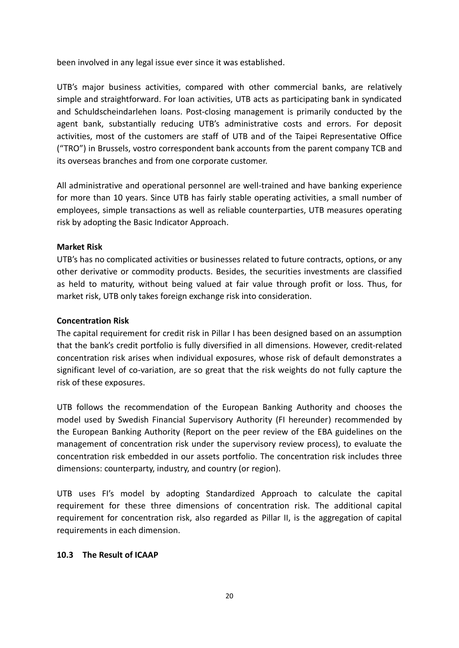been involved in any legal issue ever since it was established.

UTB's major business activities, compared with other commercial banks, are relatively simple and straightforward. For loan activities, UTB acts as participating bank in syndicated and Schuldscheindarlehen loans. Post-closing management is primarily conducted by the agent bank, substantially reducing UTB's administrative costs and errors. For deposit activities, most of the customers are staff of UTB and of the Taipei Representative Office ("TRO") in Brussels, vostro correspondent bank accounts from the parent company TCB and its overseas branches and from one corporate customer.

All administrative and operational personnel are well-trained and have banking experience for more than 10 years. Since UTB has fairly stable operating activities, a small number of employees, simple transactions as well as reliable counterparties, UTB measures operating risk by adopting the Basic Indicator Approach.

#### **Market Risk**

UTB's has no complicated activities or businesses related to future contracts, options, or any other derivative or commodity products. Besides, the securities investments are classified as held to maturity, without being valued at fair value through profit or loss. Thus, for market risk, UTB only takes foreign exchange risk into consideration.

#### **Concentration Risk**

The capital requirement for credit risk in Pillar I has been designed based on an assumption that the bank's credit portfolio is fully diversified in all dimensions. However, credit-related concentration risk arises when individual exposures, whose risk of default demonstrates a significant level of co-variation, are so great that the risk weights do not fully capture the risk of these exposures.

UTB follows the recommendation of the European Banking Authority and chooses the model used by Swedish Financial Supervisory Authority (FI hereunder) recommended by the European Banking Authority (Report on the peer review of the EBA guidelines on the management of concentration risk under the supervisory review process), to evaluate the concentration risk embedded in our assets portfolio. The concentration risk includes three dimensions: counterparty, industry, and country (or region).

UTB uses FI's model by adopting Standardized Approach to calculate the capital requirement for these three dimensions of concentration risk. The additional capital requirement for concentration risk, also regarded as Pillar II, is the aggregation of capital requirements in each dimension.

#### **10.3 The Result of ICAAP**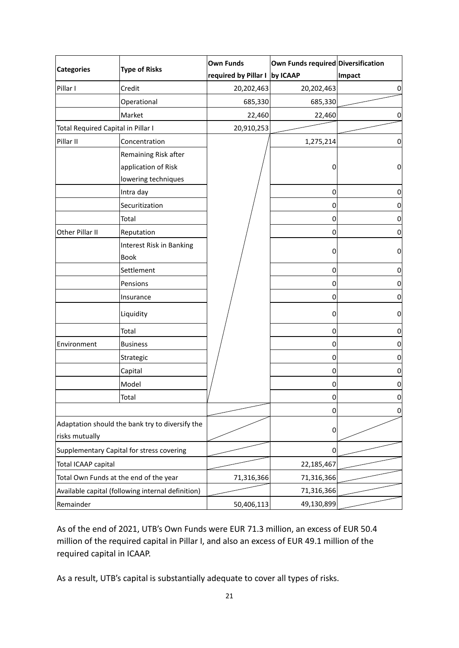|                                                 |                                                   | <b>Own Funds</b>              | Own Funds required Diversification |        |
|-------------------------------------------------|---------------------------------------------------|-------------------------------|------------------------------------|--------|
| <b>Categories</b>                               | <b>Type of Risks</b>                              | required by Pillar I by ICAAP |                                    | Impact |
| Pillar I                                        | Credit                                            | 20,202,463                    | 20,202,463                         | 0      |
|                                                 | Operational                                       | 685,330                       | 685,330                            |        |
|                                                 | Market                                            | 22,460                        | 22,460                             | 0      |
| Total Required Capital in Pillar I              |                                                   | 20,910,253                    |                                    |        |
| Pillar II                                       | Concentration                                     |                               | 1,275,214                          | 0      |
|                                                 | Remaining Risk after                              |                               |                                    |        |
|                                                 | application of Risk                               |                               | 0                                  | 0      |
|                                                 | lowering techniques                               |                               |                                    |        |
|                                                 | Intra day                                         |                               | 0                                  | 0      |
|                                                 | Securitization                                    |                               | 0                                  | 0      |
|                                                 | Total                                             |                               | $\mathbf 0$                        | 0      |
| Other Pillar II                                 | Reputation                                        |                               | 0                                  | 0      |
|                                                 | Interest Risk in Banking                          |                               |                                    |        |
|                                                 | <b>Book</b>                                       |                               | 0                                  | 0      |
|                                                 | Settlement                                        |                               | 0                                  | 0      |
|                                                 | Pensions                                          |                               | 0                                  | 0      |
|                                                 | Insurance                                         |                               | 0                                  | 0      |
|                                                 | Liquidity                                         |                               | 0                                  | 0      |
|                                                 | Total                                             |                               | 0                                  | 0      |
| Environment                                     | <b>Business</b>                                   |                               | 0                                  | 0      |
|                                                 | Strategic                                         |                               | 0                                  | 0      |
|                                                 | Capital                                           |                               | 0                                  | 0      |
|                                                 | Model                                             |                               | 0                                  | 0      |
|                                                 | Total                                             |                               | 0                                  | 0      |
|                                                 |                                                   |                               | 0                                  | 0      |
| Adaptation should the bank try to diversify the |                                                   |                               | 0                                  |        |
| risks mutually                                  |                                                   |                               |                                    |        |
| Supplementary Capital for stress covering       |                                                   |                               | 0                                  |        |
| Total ICAAP capital                             |                                                   |                               | 22,185,467                         |        |
|                                                 | Total Own Funds at the end of the year            | 71,316,366                    | 71,316,366                         |        |
|                                                 | Available capital (following internal definition) |                               | 71,316,366                         |        |
| Remainder                                       |                                                   | 50,406,113                    | 49,130,899                         |        |

As of the end of 2021, UTB's Own Funds were EUR 71.3 million, an excess of EUR 50.4 million of the required capital in Pillar I, and also an excess of EUR 49.1 million of the required capital in ICAAP.

As a result, UTB's capital is substantially adequate to cover all types of risks.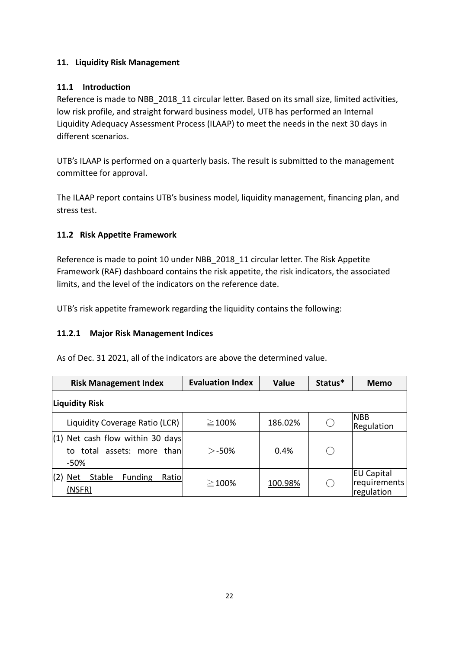### **11. Liquidity Risk Management**

## **11.1 Introduction**

Reference is made to NBB 2018 11 circular letter. Based on its small size, limited activities, low risk profile, and straight forward business model, UTB has performed an Internal Liquidity Adequacy Assessment Process (ILAAP) to meet the needs in the next 30 days in different scenarios.

UTB's ILAAP is performed on a quarterly basis. The result is submitted to the management committee for approval.

The ILAAP report contains UTB's business model, liquidity management, financing plan, and stress test.

# **11.2 Risk Appetite Framework**

Reference is made to point 10 under NBB\_2018\_11 circular letter. The Risk Appetite Framework (RAF) dashboard contains the risk appetite, the risk indicators, the associated limits, and the level of the indicators on the reference date.

UTB's risk appetite framework regarding the liquidity contains the following:

# **11.2.1 Major Risk Management Indices**

As of Dec. 31 2021, all of the indicators are above the determined value.

| <b>Risk Management Index</b>                                             | <b>Evaluation Index</b> | <b>Value</b> | Status*  | Memo                                            |
|--------------------------------------------------------------------------|-------------------------|--------------|----------|-------------------------------------------------|
| Liquidity Risk                                                           |                         |              |          |                                                 |
| Liquidity Coverage Ratio (LCR)                                           | $\geq$ 100%             | 186.02%      | $\left($ | <b>NBB</b><br>Regulation                        |
| $(1)$ Net cash flow within 30 days<br>to total assets: more than<br>-50% | $>$ -50%                | 0.4%         |          |                                                 |
| Stable<br><b>Funding</b><br><b>Net</b><br>Ratio<br>(2)<br>(NSFR)         | $\geq$ 100%             | 100.98%      |          | <b>EU Capital</b><br>requirements<br>regulation |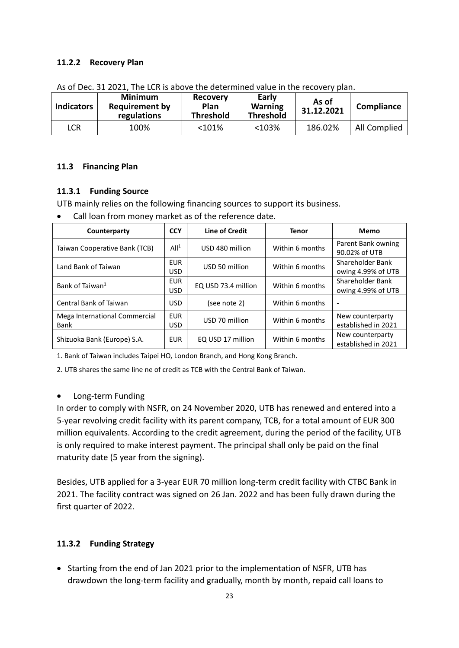#### **11.2.2 Recovery Plan**

| <b>Indicators</b> | <b>Minimum</b><br><b>Requirement by</b><br>regulations | <b>Recovery</b><br>Plan<br><b>Threshold</b> | Early<br><b>Warning</b><br><b>Threshold</b> | As of<br>31.12.2021 | Compliance   |
|-------------------|--------------------------------------------------------|---------------------------------------------|---------------------------------------------|---------------------|--------------|
| LCR               | 100%                                                   | <101%                                       | <103%                                       | 186.02%             | All Complied |

As of Dec. 31 2021, The LCR is above the determined value in the recovery plan.

#### **11.3 Financing Plan**

#### **11.3.1 Funding Source**

UTB mainly relies on the following financing sources to support its business.

• Call loan from money market as of the reference date.

| Counterparty                          | <b>CCY</b>               | Line of Credit      | <b>Tenor</b>    | Memo                                    |
|---------------------------------------|--------------------------|---------------------|-----------------|-----------------------------------------|
| Taiwan Cooperative Bank (TCB)         | All <sup>1</sup>         | USD 480 million     | Within 6 months | Parent Bank owning<br>90.02% of UTB     |
| Land Bank of Taiwan                   | <b>EUR</b><br><b>USD</b> | USD 50 million      | Within 6 months | Shareholder Bank<br>owing 4.99% of UTB  |
| Bank of Taiwan <sup>1</sup>           | <b>EUR</b><br><b>USD</b> | EQ USD 73.4 million | Within 6 months | Shareholder Bank<br>owing 4.99% of UTB  |
| Central Bank of Taiwan                | <b>USD</b>               | (see note 2)        | Within 6 months | $\overline{\phantom{a}}$                |
| Mega International Commercial<br>Bank | <b>EUR</b><br><b>USD</b> | USD 70 million      | Within 6 months | New counterparty<br>established in 2021 |
| Shizuoka Bank (Europe) S.A.           | <b>EUR</b>               | EQ USD 17 million   | Within 6 months | New counterparty<br>established in 2021 |

1. Bank of Taiwan includes Taipei HO, London Branch, and Hong Kong Branch.

2. UTB shares the same line ne of credit as TCB with the Central Bank of Taiwan.

#### • Long-term Funding

In order to comply with NSFR, on 24 November 2020, UTB has renewed and entered into a 5-year revolving credit facility with its parent company, TCB, for a total amount of EUR 300 million equivalents. According to the credit agreement, during the period of the facility, UTB is only required to make interest payment. The principal shall only be paid on the final maturity date (5 year from the signing).

Besides, UTB applied for a 3-year EUR 70 million long-term credit facility with CTBC Bank in 2021. The facility contract was signed on 26 Jan. 2022 and has been fully drawn during the first quarter of 2022.

#### **11.3.2 Funding Strategy**

• Starting from the end of Jan 2021 prior to the implementation of NSFR, UTB has drawdown the long-term facility and gradually, month by month, repaid call loans to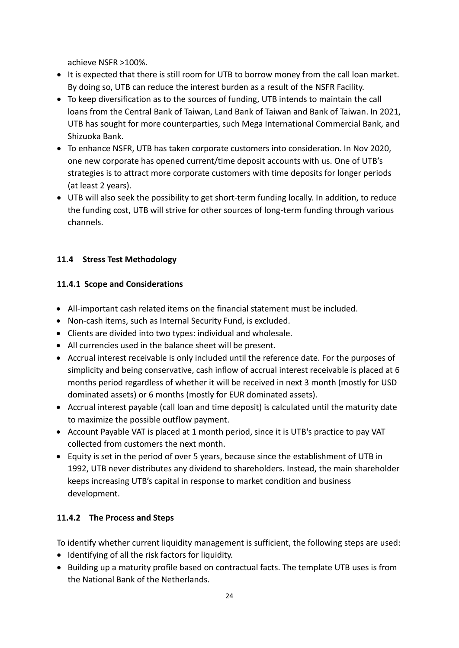achieve NSFR >100%.

- It is expected that there is still room for UTB to borrow money from the call loan market. By doing so, UTB can reduce the interest burden as a result of the NSFR Facility.
- To keep diversification as to the sources of funding, UTB intends to maintain the call loans from the Central Bank of Taiwan, Land Bank of Taiwan and Bank of Taiwan. In 2021, UTB has sought for more counterparties, such Mega International Commercial Bank, and Shizuoka Bank.
- To enhance NSFR, UTB has taken corporate customers into consideration. In Nov 2020, one new corporate has opened current/time deposit accounts with us. One of UTB's strategies is to attract more corporate customers with time deposits for longer periods (at least 2 years).
- UTB will also seek the possibility to get short-term funding locally. In addition, to reduce the funding cost, UTB will strive for other sources of long-term funding through various channels.

# **11.4 Stress Test Methodology**

### **11.4.1 Scope and Considerations**

- All-important cash related items on the financial statement must be included.
- Non-cash items, such as Internal Security Fund, is excluded.
- Clients are divided into two types: individual and wholesale.
- All currencies used in the balance sheet will be present.
- Accrual interest receivable is only included until the reference date. For the purposes of simplicity and being conservative, cash inflow of accrual interest receivable is placed at 6 months period regardless of whether it will be received in next 3 month (mostly for USD dominated assets) or 6 months (mostly for EUR dominated assets).
- Accrual interest payable (call loan and time deposit) is calculated until the maturity date to maximize the possible outflow payment.
- Account Payable VAT is placed at 1 month period, since it is UTB's practice to pay VAT collected from customers the next month.
- Equity is set in the period of over 5 years, because since the establishment of UTB in 1992, UTB never distributes any dividend to shareholders. Instead, the main shareholder keeps increasing UTB's capital in response to market condition and business development.

### **11.4.2 The Process and Steps**

To identify whether current liquidity management is sufficient, the following steps are used:

- Identifying of all the risk factors for liquidity.
- Building up a maturity profile based on contractual facts. The template UTB uses is from the National Bank of the Netherlands.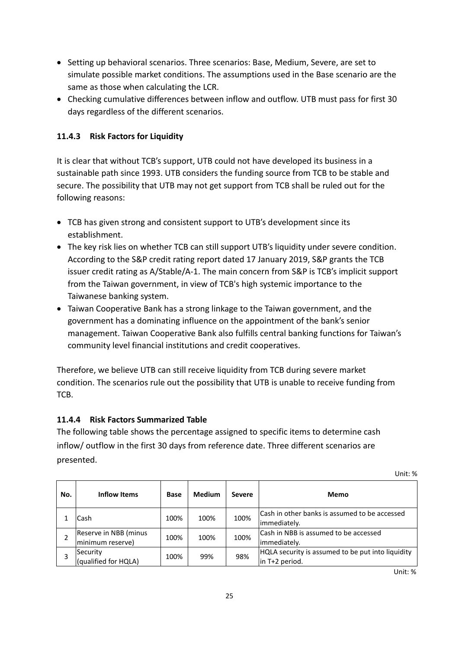- Setting up behavioral scenarios. Three scenarios: Base, Medium, Severe, are set to simulate possible market conditions. The assumptions used in the Base scenario are the same as those when calculating the LCR.
- Checking cumulative differences between inflow and outflow. UTB must pass for first 30 days regardless of the different scenarios.

# **11.4.3 Risk Factors for Liquidity**

It is clear that without TCB's support, UTB could not have developed its business in a sustainable path since 1993. UTB considers the funding source from TCB to be stable and secure. The possibility that UTB may not get support from TCB shall be ruled out for the following reasons:

- TCB has given strong and consistent support to UTB's development since its establishment.
- The key risk lies on whether TCB can still support UTB's liquidity under severe condition. According to the S&P credit rating report dated 17 January 2019, S&P grants the TCB issuer credit rating as A/Stable/A-1. The main concern from S&P is TCB's implicit support from the Taiwan government, in view of TCB's high systemic importance to the Taiwanese banking system.
- Taiwan Cooperative Bank has a strong linkage to the Taiwan government, and the government has a dominating influence on the appointment of the bank's senior management. Taiwan Cooperative Bank also fulfills central banking functions for Taiwan's community level financial institutions and credit cooperatives.

Therefore, we believe UTB can still receive liquidity from TCB during severe market condition. The scenarios rule out the possibility that UTB is unable to receive funding from TCB.

# <span id="page-27-0"></span>**11.4.4 Risk Factors Summarized Table**

The following table shows the percentage assigned to specific items to determine cash inflow/ outflow in the first 30 days from reference date. Three different scenarios are presented.

| No. | Inflow Items                              | <b>Base</b> | <b>Medium</b> | Severe | <b>Memo</b>                                                         |
|-----|-------------------------------------------|-------------|---------------|--------|---------------------------------------------------------------------|
|     | Cash                                      | 100%        | 100%          | 100%   | Cash in other banks is assumed to be accessed<br>immediately.       |
|     | Reserve in NBB (minus<br>minimum reserve) | 100%        | 100%          | 100%   | Cash in NBB is assumed to be accessed<br>limmediately.              |
|     | Security<br>(qualified for HQLA)          | 100%        | 99%           | 98%    | HQLA security is assumed to be put into liquidity<br>in T+2 period. |

Unit: %

Unit: %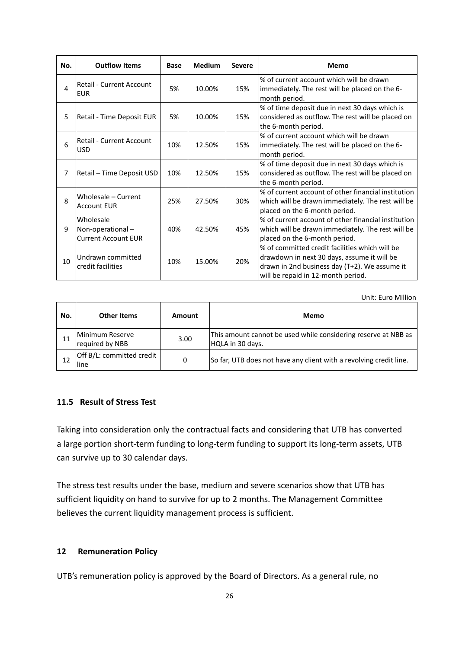| No. | <b>Outflow Items</b>                                        | <b>Base</b> | <b>Medium</b> | <b>Severe</b> | Memo                                                                                                                                                                                 |
|-----|-------------------------------------------------------------|-------------|---------------|---------------|--------------------------------------------------------------------------------------------------------------------------------------------------------------------------------------|
| 4   | <b>Retail - Current Account</b><br><b>EUR</b>               | 5%          | 10.00%        | 15%           | % of current account which will be drawn<br>immediately. The rest will be placed on the 6-<br>month period.                                                                          |
| 5   | Retail - Time Deposit EUR                                   | 5%          | 10.00%        | 15%           | % of time deposit due in next 30 days which is<br>considered as outflow. The rest will be placed on<br>the 6-month period.                                                           |
| 6   | Retail - Current Account<br><b>USD</b>                      | 10%         | 12.50%        | 15%           | % of current account which will be drawn<br>immediately. The rest will be placed on the 6-<br>month period.                                                                          |
| 7   | Retail - Time Deposit USD                                   | 10%         | 12.50%        | 15%           | % of time deposit due in next 30 days which is<br>considered as outflow. The rest will be placed on<br>the 6-month period.                                                           |
| 8   | Wholesale - Current<br><b>Account EUR</b>                   | 25%         | 27.50%        | 30%           | % of current account of other financial institution<br>which will be drawn immediately. The rest will be<br>placed on the 6-month period.                                            |
| 9   | Wholesale<br>Non-operational-<br><b>Current Account EUR</b> | 40%         | 42.50%        | 45%           | % of current account of other financial institution<br>which will be drawn immediately. The rest will be<br>placed on the 6-month period.                                            |
| 10  | Undrawn committed<br>credit facilities                      | 10%         | 15.00%        | 20%           | % of committed credit facilities which will be<br>drawdown in next 30 days, assume it will be<br>drawn in 2nd business day (T+2). We assume it<br>will be repaid in 12-month period. |

Unit: Euro Million

| No. | Other Items<br>Amount              |      | Memo                                                                               |  |  |
|-----|------------------------------------|------|------------------------------------------------------------------------------------|--|--|
| 11  | Minimum Reserve<br>required by NBB | 3.00 | This amount cannot be used while considering reserve at NBB as<br>HQLA in 30 days. |  |  |
| 12  | Off B/L: committed credit<br>lline | 0    | So far, UTB does not have any client with a revolving credit line.                 |  |  |

#### <span id="page-28-0"></span>**11.5 Result of Stress Test**

Taking into consideration only the contractual facts and considering that UTB has converted a large portion short-term funding to long-term funding to support its long-term assets, UTB can survive up to 30 calendar days.

The stress test results under the base, medium and severe scenarios show that UTB has sufficient liquidity on hand to survive for up to 2 months. The Management Committee believes the current liquidity management process is sufficient.

#### **12 Remuneration Policy**

UTB's remuneration policy is approved by the Board of Directors. As a general rule, no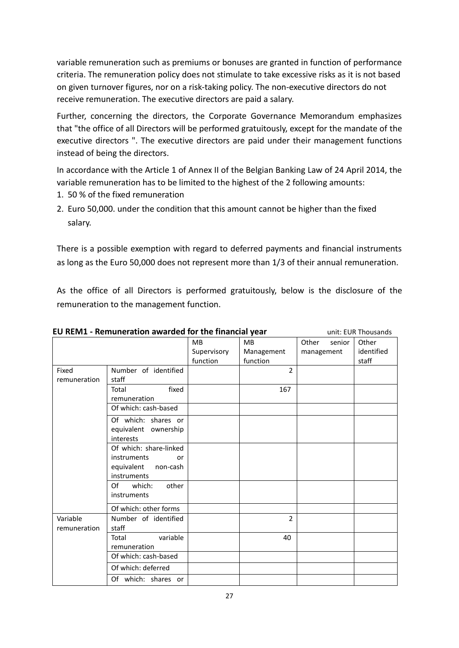variable remuneration such as premiums or bonuses are granted in function of performance criteria. The remuneration policy does not stimulate to take excessive risks as it is not based on given turnover figures, nor on a risk-taking policy. The non-executive directors do not receive remuneration. The executive directors are paid a salary.

Further, concerning the directors, the Corporate Governance Memorandum emphasizes that "the office of all Directors will be performed gratuitously, except for the mandate of the executive directors ". The executive directors are paid under their management functions instead of being the directors.

In accordance with the Article 1 of Annex II of the Belgian Banking Law of 24 April 2014, the variable remuneration has to be limited to the highest of the 2 following amounts:

- 1. 50 % of the fixed remuneration
- 2. Euro 50,000. under the condition that this amount cannot be higher than the fixed salary.

There is a possible exemption with regard to deferred payments and financial instruments as long as the Euro 50,000 does not represent more than 1/3 of their annual remuneration.

As the office of all Directors is performed gratuitously, below is the disclosure of the remuneration to the management function.

| LO KLIVII - KCHIUHCIAGOH AWATUCU IOI GIC HHAHGIAI YCAI<br>UIIIL. LUI\ THUUSAHUS |                                                   |                |                 |            |  |  |
|---------------------------------------------------------------------------------|---------------------------------------------------|----------------|-----------------|------------|--|--|
|                                                                                 | <b>MB</b>                                         | <b>MB</b>      | Other<br>senior | Other      |  |  |
|                                                                                 | Supervisory                                       | Management     | management      | identified |  |  |
|                                                                                 | function                                          | function       |                 | staff      |  |  |
| Number of identified                                                            |                                                   | $\mathfrak{p}$ |                 |            |  |  |
| staff                                                                           |                                                   |                |                 |            |  |  |
| fixed<br>Total                                                                  |                                                   | 167            |                 |            |  |  |
| remuneration                                                                    |                                                   |                |                 |            |  |  |
| Of which: cash-based                                                            |                                                   |                |                 |            |  |  |
| Of which: shares or                                                             |                                                   |                |                 |            |  |  |
| equivalent ownership                                                            |                                                   |                |                 |            |  |  |
| interests                                                                       |                                                   |                |                 |            |  |  |
| Of which: share-linked                                                          |                                                   |                |                 |            |  |  |
| instruments<br>or                                                               |                                                   |                |                 |            |  |  |
| non-cash                                                                        |                                                   |                |                 |            |  |  |
|                                                                                 |                                                   |                |                 |            |  |  |
| Of<br>which:                                                                    |                                                   |                |                 |            |  |  |
|                                                                                 |                                                   |                |                 |            |  |  |
| Of which: other forms                                                           |                                                   |                |                 |            |  |  |
| Number of identified                                                            |                                                   | $\mathfrak{p}$ |                 |            |  |  |
| staff                                                                           |                                                   |                |                 |            |  |  |
| variable<br>Total                                                               |                                                   | 40             |                 |            |  |  |
| remuneration                                                                    |                                                   |                |                 |            |  |  |
| Of which: cash-based                                                            |                                                   |                |                 |            |  |  |
| Of which: deferred                                                              |                                                   |                |                 |            |  |  |
| Of which: shares or                                                             |                                                   |                |                 |            |  |  |
|                                                                                 | equivalent<br>instruments<br>other<br>instruments |                |                 |            |  |  |

**EU REM1 - Remuneration awarded for the financial year** unit: EUR Thousands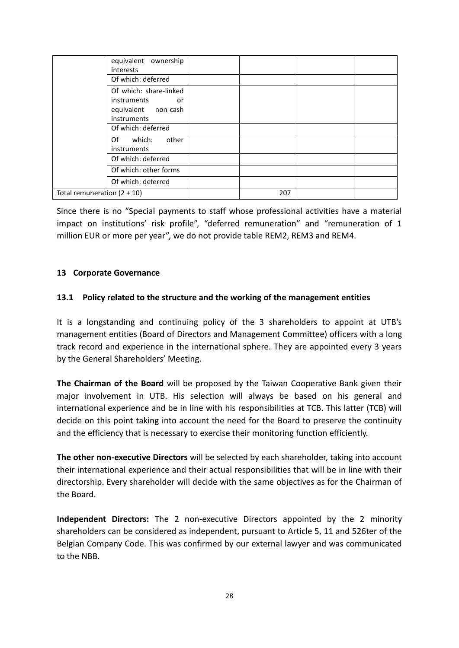|                               | equivalent ownership<br>interests                                                 |     |  |
|-------------------------------|-----------------------------------------------------------------------------------|-----|--|
|                               | Of which: deferred                                                                |     |  |
|                               | Of which: share-linked<br>instruments<br>or<br>equivalent non-cash<br>instruments |     |  |
|                               | Of which: deferred                                                                |     |  |
|                               | which:<br>other<br>Of a<br>instruments                                            |     |  |
|                               | Of which: deferred                                                                |     |  |
|                               | Of which: other forms                                                             |     |  |
|                               | Of which: deferred                                                                |     |  |
| Total remuneration $(2 + 10)$ |                                                                                   | 207 |  |

Since there is no "Special payments to staff whose professional activities have a material impact on institutions' risk profile", "deferred remuneration" and "remuneration of 1 million EUR or more per year", we do not provide table REM2, REM3 and REM4.

#### **13 Corporate Governance**

#### **13.1 Policy related to the structure and the working of the management entities**

It is a longstanding and continuing policy of the 3 shareholders to appoint at UTB's management entities (Board of Directors and Management Committee) officers with a long track record and experience in the international sphere. They are appointed every 3 years by the General Shareholders' Meeting.

**The Chairman of the Board** will be proposed by the Taiwan Cooperative Bank given their major involvement in UTB. His selection will always be based on his general and international experience and be in line with his responsibilities at TCB. This latter (TCB) will decide on this point taking into account the need for the Board to preserve the continuity and the efficiency that is necessary to exercise their monitoring function efficiently.

**The other non-executive Directors** will be selected by each shareholder, taking into account their international experience and their actual responsibilities that will be in line with their directorship. Every shareholder will decide with the same objectives as for the Chairman of the Board.

**Independent Directors:** The 2 non-executive Directors appointed by the 2 minority shareholders can be considered as independent, pursuant to Article 5, 11 and 526ter of the Belgian Company Code. This was confirmed by our external lawyer and was communicated to the NBB.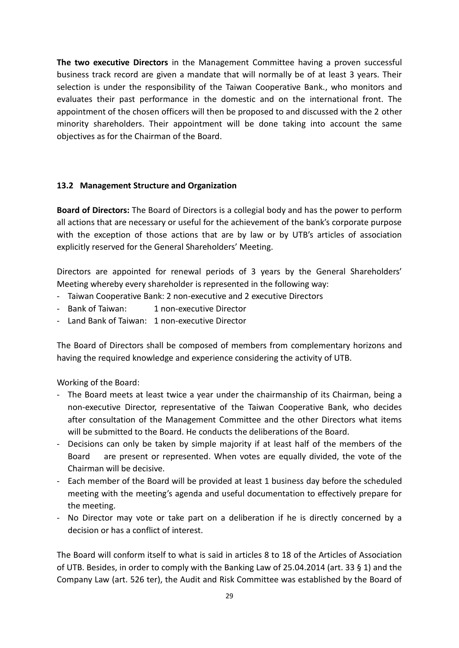**The two executive Directors** in the Management Committee having a proven successful business track record are given a mandate that will normally be of at least 3 years. Their selection is under the responsibility of the Taiwan Cooperative Bank., who monitors and evaluates their past performance in the domestic and on the international front. The appointment of the chosen officers will then be proposed to and discussed with the 2 other minority shareholders. Their appointment will be done taking into account the same objectives as for the Chairman of the Board.

#### **13.2 Management Structure and Organization**

**Board of Directors:** The Board of Directors is a collegial body and has the power to perform all actions that are necessary or useful for the achievement of the bank's corporate purpose with the exception of those actions that are by law or by UTB's articles of association explicitly reserved for the General Shareholders' Meeting.

Directors are appointed for renewal periods of 3 years by the General Shareholders' Meeting whereby every shareholder is represented in the following way:

- Taiwan Cooperative Bank: 2 non-executive and 2 executive Directors
- Bank of Taiwan: 1 non-executive Director
- Land Bank of Taiwan: 1 non-executive Director

The Board of Directors shall be composed of members from complementary horizons and having the required knowledge and experience considering the activity of UTB.

Working of the Board:

- The Board meets at least twice a year under the chairmanship of its Chairman, being a non-executive Director, representative of the Taiwan Cooperative Bank, who decides after consultation of the Management Committee and the other Directors what items will be submitted to the Board. He conducts the deliberations of the Board.
- Decisions can only be taken by simple majority if at least half of the members of the Board are present or represented. When votes are equally divided, the vote of the Chairman will be decisive.
- Each member of the Board will be provided at least 1 business day before the scheduled meeting with the meeting's agenda and useful documentation to effectively prepare for the meeting.
- No Director may vote or take part on a deliberation if he is directly concerned by a decision or has a conflict of interest.

The Board will conform itself to what is said in articles 8 to 18 of the Articles of Association of UTB. Besides, in order to comply with the Banking Law of 25.04.2014 (art. 33 § 1) and the Company Law (art. 526 ter), the Audit and Risk Committee was established by the Board of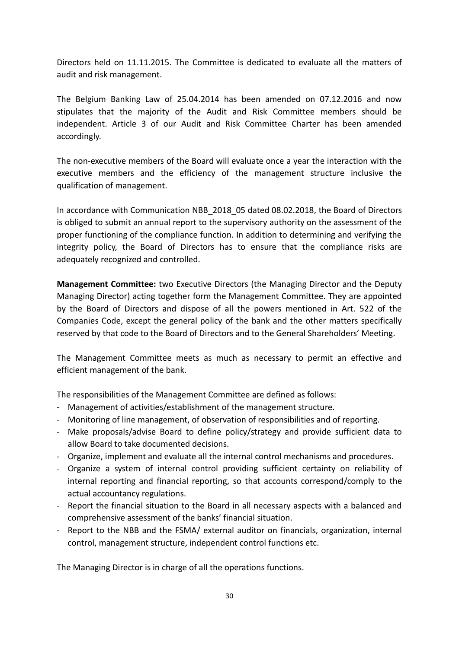Directors held on 11.11.2015. The Committee is dedicated to evaluate all the matters of audit and risk management.

The Belgium Banking Law of 25.04.2014 has been amended on 07.12.2016 and now stipulates that the majority of the Audit and Risk Committee members should be independent. Article 3 of our Audit and Risk Committee Charter has been amended accordingly.

The non-executive members of the Board will evaluate once a year the interaction with the executive members and the efficiency of the management structure inclusive the qualification of management.

In accordance with Communication NBB 2018 05 dated 08.02.2018, the Board of Directors is obliged to submit an annual report to the supervisory authority on the assessment of the proper functioning of the compliance function. In addition to determining and verifying the integrity policy, the Board of Directors has to ensure that the compliance risks are adequately recognized and controlled.

**Management Committee:** two Executive Directors (the Managing Director and the Deputy Managing Director) acting together form the Management Committee. They are appointed by the Board of Directors and dispose of all the powers mentioned in Art. 522 of the Companies Code, except the general policy of the bank and the other matters specifically reserved by that code to the Board of Directors and to the General Shareholders' Meeting.

The Management Committee meets as much as necessary to permit an effective and efficient management of the bank.

The responsibilities of the Management Committee are defined as follows:

- Management of activities/establishment of the management structure.
- Monitoring of line management, of observation of responsibilities and of reporting.
- Make proposals/advise Board to define policy/strategy and provide sufficient data to allow Board to take documented decisions.
- Organize, implement and evaluate all the internal control mechanisms and procedures.
- Organize a system of internal control providing sufficient certainty on reliability of internal reporting and financial reporting, so that accounts correspond/comply to the actual accountancy regulations.
- Report the financial situation to the Board in all necessary aspects with a balanced and comprehensive assessment of the banks' financial situation.
- Report to the NBB and the FSMA/ external auditor on financials, organization, internal control, management structure, independent control functions etc.

The Managing Director is in charge of all the operations functions.